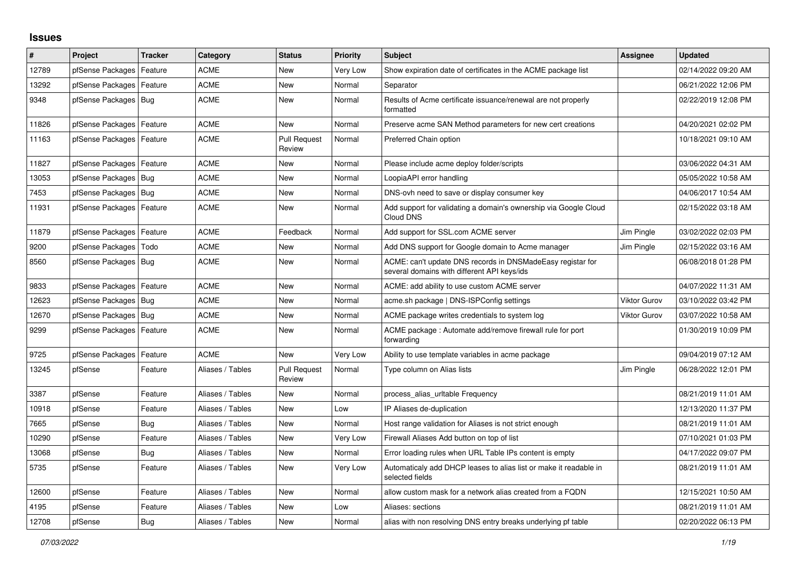## **Issues**

| #     | Project                    | <b>Tracker</b> | Category         | <b>Status</b>                 | <b>Priority</b> | <b>Subject</b>                                                                                            | Assignee            | <b>Updated</b>      |
|-------|----------------------------|----------------|------------------|-------------------------------|-----------------|-----------------------------------------------------------------------------------------------------------|---------------------|---------------------|
| 12789 | pfSense Packages           | Feature        | <b>ACME</b>      | New                           | Very Low        | Show expiration date of certificates in the ACME package list                                             |                     | 02/14/2022 09:20 AM |
| 13292 | pfSense Packages           | Feature        | <b>ACME</b>      | New                           | Normal          | Separator                                                                                                 |                     | 06/21/2022 12:06 PM |
| 9348  | pfSense Packages   Bug     |                | <b>ACME</b>      | New                           | Normal          | Results of Acme certificate issuance/renewal are not properly<br>formatted                                |                     | 02/22/2019 12:08 PM |
| 11826 | pfSense Packages           | Feature        | <b>ACME</b>      | <b>New</b>                    | Normal          | Preserve acme SAN Method parameters for new cert creations                                                |                     | 04/20/2021 02:02 PM |
| 11163 | pfSense Packages           | Feature        | <b>ACME</b>      | <b>Pull Request</b><br>Review | Normal          | Preferred Chain option                                                                                    |                     | 10/18/2021 09:10 AM |
| 11827 | pfSense Packages   Feature |                | <b>ACME</b>      | New                           | Normal          | Please include acme deploy folder/scripts                                                                 |                     | 03/06/2022 04:31 AM |
| 13053 | pfSense Packages   Bug     |                | ACME             | New                           | Normal          | LoopiaAPI error handling                                                                                  |                     | 05/05/2022 10:58 AM |
| 7453  | pfSense Packages           | Bug            | <b>ACME</b>      | New                           | Normal          | DNS-ovh need to save or display consumer key                                                              |                     | 04/06/2017 10:54 AM |
| 11931 | pfSense Packages   Feature |                | <b>ACME</b>      | New                           | Normal          | Add support for validating a domain's ownership via Google Cloud<br>Cloud DNS                             |                     | 02/15/2022 03:18 AM |
| 11879 | pfSense Packages           | Feature        | <b>ACME</b>      | Feedback                      | Normal          | Add support for SSL.com ACME server                                                                       | Jim Pingle          | 03/02/2022 02:03 PM |
| 9200  | pfSense Packages           | Todo           | <b>ACME</b>      | New                           | Normal          | Add DNS support for Google domain to Acme manager                                                         | Jim Pingle          | 02/15/2022 03:16 AM |
| 8560  | pfSense Packages   Bug     |                | <b>ACME</b>      | <b>New</b>                    | Normal          | ACME: can't update DNS records in DNSMadeEasy registar for<br>several domains with different API keys/ids |                     | 06/08/2018 01:28 PM |
| 9833  | pfSense Packages   Feature |                | <b>ACME</b>      | <b>New</b>                    | Normal          | ACME: add ability to use custom ACME server                                                               |                     | 04/07/2022 11:31 AM |
| 12623 | pfSense Packages           | Bug            | <b>ACME</b>      | New                           | Normal          | acme.sh package   DNS-ISPConfig settings                                                                  | <b>Viktor Gurov</b> | 03/10/2022 03:42 PM |
| 12670 | pfSense Packages   Bug     |                | <b>ACME</b>      | <b>New</b>                    | Normal          | ACME package writes credentials to system log                                                             | <b>Viktor Gurov</b> | 03/07/2022 10:58 AM |
| 9299  | pfSense Packages           | Feature        | <b>ACME</b>      | New                           | Normal          | ACME package: Automate add/remove firewall rule for port<br>forwarding                                    |                     | 01/30/2019 10:09 PM |
| 9725  | pfSense Packages           | Feature        | <b>ACME</b>      | New                           | Very Low        | Ability to use template variables in acme package                                                         |                     | 09/04/2019 07:12 AM |
| 13245 | pfSense                    | Feature        | Aliases / Tables | Pull Request<br>Review        | Normal          | Type column on Alias lists                                                                                | Jim Pingle          | 06/28/2022 12:01 PM |
| 3387  | pfSense                    | Feature        | Aliases / Tables | <b>New</b>                    | Normal          | process alias urltable Frequency                                                                          |                     | 08/21/2019 11:01 AM |
| 10918 | pfSense                    | Feature        | Aliases / Tables | New                           | Low             | IP Aliases de-duplication                                                                                 |                     | 12/13/2020 11:37 PM |
| 7665  | pfSense                    | Bug            | Aliases / Tables | New                           | Normal          | Host range validation for Aliases is not strict enough                                                    |                     | 08/21/2019 11:01 AM |
| 10290 | pfSense                    | Feature        | Aliases / Tables | New                           | Very Low        | Firewall Aliases Add button on top of list                                                                |                     | 07/10/2021 01:03 PM |
| 13068 | pfSense                    | Bug            | Aliases / Tables | <b>New</b>                    | Normal          | Error loading rules when URL Table IPs content is empty                                                   |                     | 04/17/2022 09:07 PM |
| 5735  | pfSense                    | Feature        | Aliases / Tables | New                           | Very Low        | Automaticaly add DHCP leases to alias list or make it readable in<br>selected fields                      |                     | 08/21/2019 11:01 AM |
| 12600 | pfSense                    | Feature        | Aliases / Tables | New                           | Normal          | allow custom mask for a network alias created from a FQDN                                                 |                     | 12/15/2021 10:50 AM |
| 4195  | pfSense                    | Feature        | Aliases / Tables | <b>New</b>                    | Low             | Aliases: sections                                                                                         |                     | 08/21/2019 11:01 AM |
| 12708 | pfSense                    | <b>Bug</b>     | Aliases / Tables | New                           | Normal          | alias with non resolving DNS entry breaks underlying pf table                                             |                     | 02/20/2022 06:13 PM |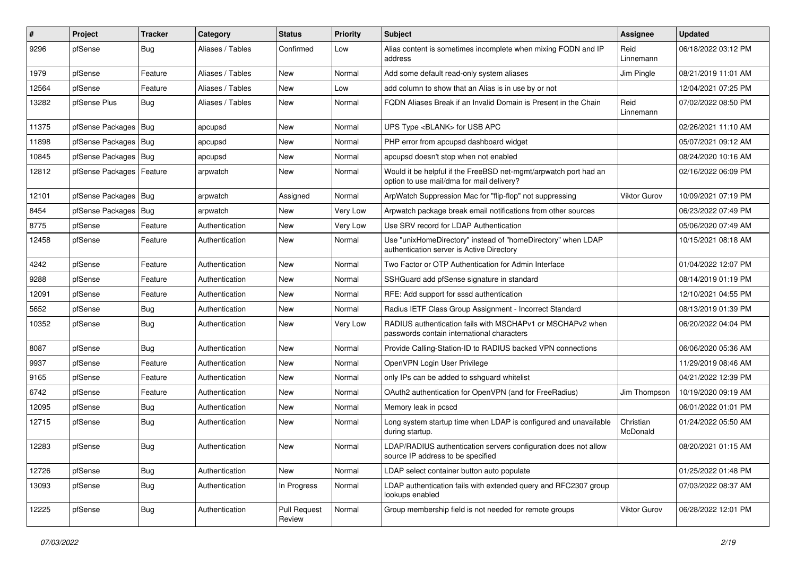| ∦     | Project                | Tracker    | Category         | <b>Status</b>          | <b>Priority</b> | Subject                                                                                                       | <b>Assignee</b>       | <b>Updated</b>      |
|-------|------------------------|------------|------------------|------------------------|-----------------|---------------------------------------------------------------------------------------------------------------|-----------------------|---------------------|
| 9296  | pfSense                | <b>Bug</b> | Aliases / Tables | Confirmed              | Low             | Alias content is sometimes incomplete when mixing FQDN and IP<br>address                                      | Reid<br>Linnemann     | 06/18/2022 03:12 PM |
| 1979  | pfSense                | Feature    | Aliases / Tables | <b>New</b>             | Normal          | Add some default read-only system aliases                                                                     | Jim Pingle            | 08/21/2019 11:01 AM |
| 12564 | pfSense                | Feature    | Aliases / Tables | New                    | Low             | add column to show that an Alias is in use by or not                                                          |                       | 12/04/2021 07:25 PM |
| 13282 | pfSense Plus           | Bug        | Aliases / Tables | New                    | Normal          | FQDN Aliases Break if an Invalid Domain is Present in the Chain                                               | Reid<br>Linnemann     | 07/02/2022 08:50 PM |
| 11375 | pfSense Packages   Bug |            | apcupsd          | <b>New</b>             | Normal          | UPS Type <blank> for USB APC</blank>                                                                          |                       | 02/26/2021 11:10 AM |
| 11898 | pfSense Packages       | Bug        | apcupsd          | New                    | Normal          | PHP error from apcupsd dashboard widget                                                                       |                       | 05/07/2021 09:12 AM |
| 10845 | pfSense Packages   Bug |            | apcupsd          | New                    | Normal          | apcupsd doesn't stop when not enabled                                                                         |                       | 08/24/2020 10:16 AM |
| 12812 | pfSense Packages       | Feature    | arpwatch         | New                    | Normal          | Would it be helpful if the FreeBSD net-mgmt/arpwatch port had an<br>option to use mail/dma for mail delivery? |                       | 02/16/2022 06:09 PM |
| 12101 | pfSense Packages   Bug |            | arpwatch         | Assigned               | Normal          | ArpWatch Suppression Mac for "flip-flop" not suppressing                                                      | <b>Viktor Gurov</b>   | 10/09/2021 07:19 PM |
| 8454  | pfSense Packages       | Bug        | arpwatch         | New                    | Very Low        | Arpwatch package break email notifications from other sources                                                 |                       | 06/23/2022 07:49 PM |
| 8775  | pfSense                | Feature    | Authentication   | New                    | Very Low        | Use SRV record for LDAP Authentication                                                                        |                       | 05/06/2020 07:49 AM |
| 12458 | pfSense                | Feature    | Authentication   | New                    | Normal          | Use "unixHomeDirectory" instead of "homeDirectory" when LDAP<br>authentication server is Active Directory     |                       | 10/15/2021 08:18 AM |
| 4242  | pfSense                | Feature    | Authentication   | <b>New</b>             | Normal          | Two Factor or OTP Authentication for Admin Interface                                                          |                       | 01/04/2022 12:07 PM |
| 9288  | pfSense                | Feature    | Authentication   | New                    | Normal          | SSHGuard add pfSense signature in standard                                                                    |                       | 08/14/2019 01:19 PM |
| 12091 | pfSense                | Feature    | Authentication   | New                    | Normal          | RFE: Add support for sssd authentication                                                                      |                       | 12/10/2021 04:55 PM |
| 5652  | pfSense                | Bug        | Authentication   | New                    | Normal          | Radius IETF Class Group Assignment - Incorrect Standard                                                       |                       | 08/13/2019 01:39 PM |
| 10352 | pfSense                | Bug        | Authentication   | New                    | Very Low        | RADIUS authentication fails with MSCHAPv1 or MSCHAPv2 when<br>passwords contain international characters      |                       | 06/20/2022 04:04 PM |
| 8087  | pfSense                | <b>Bug</b> | Authentication   | <b>New</b>             | Normal          | Provide Calling-Station-ID to RADIUS backed VPN connections                                                   |                       | 06/06/2020 05:36 AM |
| 9937  | pfSense                | Feature    | Authentication   | New                    | Normal          | OpenVPN Login User Privilege                                                                                  |                       | 11/29/2019 08:46 AM |
| 9165  | pfSense                | Feature    | Authentication   | <b>New</b>             | Normal          | only IPs can be added to sshguard whitelist                                                                   |                       | 04/21/2022 12:39 PM |
| 6742  | pfSense                | Feature    | Authentication   | <b>New</b>             | Normal          | OAuth2 authentication for OpenVPN (and for FreeRadius)                                                        | Jim Thompson          | 10/19/2020 09:19 AM |
| 12095 | pfSense                | <b>Bug</b> | Authentication   | <b>New</b>             | Normal          | Memory leak in pcscd                                                                                          |                       | 06/01/2022 01:01 PM |
| 12715 | pfSense                | Bug        | Authentication   | New                    | Normal          | Long system startup time when LDAP is configured and unavailable<br>during startup.                           | Christian<br>McDonald | 01/24/2022 05:50 AM |
| 12283 | pfSense                | Bug        | Authentication   | New                    | Normal          | LDAP/RADIUS authentication servers configuration does not allow<br>source IP address to be specified          |                       | 08/20/2021 01:15 AM |
| 12726 | pfSense                | <b>Bug</b> | Authentication   | New                    | Normal          | LDAP select container button auto populate                                                                    |                       | 01/25/2022 01:48 PM |
| 13093 | pfSense                | <b>Bug</b> | Authentication   | In Progress            | Normal          | LDAP authentication fails with extended query and RFC2307 group<br>lookups enabled                            |                       | 07/03/2022 08:37 AM |
| 12225 | pfSense                | <b>Bug</b> | Authentication   | Pull Request<br>Review | Normal          | Group membership field is not needed for remote groups                                                        | Viktor Gurov          | 06/28/2022 12:01 PM |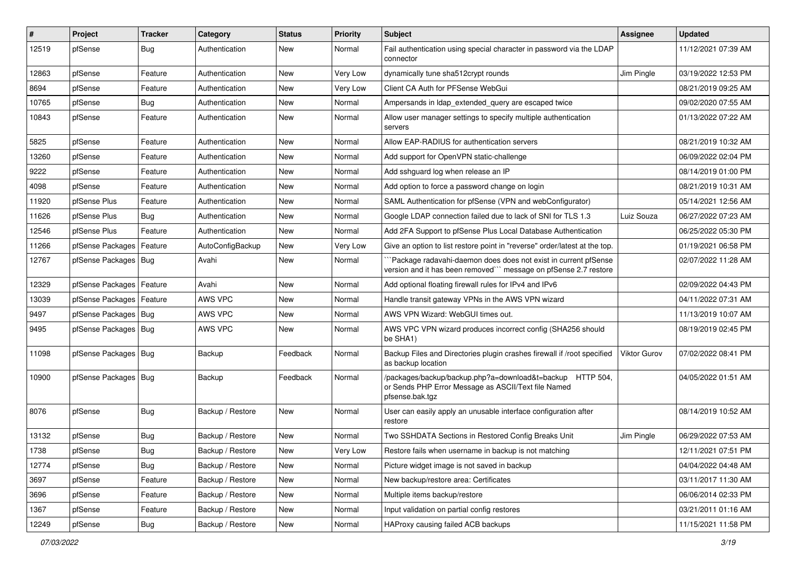| #     | Project                | <b>Tracker</b> | Category         | <b>Status</b> | <b>Priority</b> | <b>Subject</b>                                                                                                                      | Assignee            | <b>Updated</b>      |
|-------|------------------------|----------------|------------------|---------------|-----------------|-------------------------------------------------------------------------------------------------------------------------------------|---------------------|---------------------|
| 12519 | pfSense                | Bug            | Authentication   | New           | Normal          | Fail authentication using special character in password via the LDAP<br>connector                                                   |                     | 11/12/2021 07:39 AM |
| 12863 | pfSense                | Feature        | Authentication   | New           | Very Low        | dynamically tune sha512crypt rounds                                                                                                 | Jim Pingle          | 03/19/2022 12:53 PM |
| 8694  | pfSense                | Feature        | Authentication   | New           | Very Low        | Client CA Auth for PFSense WebGui                                                                                                   |                     | 08/21/2019 09:25 AM |
| 10765 | pfSense                | Bug            | Authentication   | New           | Normal          | Ampersands in Idap_extended_query are escaped twice                                                                                 |                     | 09/02/2020 07:55 AM |
| 10843 | pfSense                | Feature        | Authentication   | New           | Normal          | Allow user manager settings to specify multiple authentication<br>servers                                                           |                     | 01/13/2022 07:22 AM |
| 5825  | pfSense                | Feature        | Authentication   | New           | Normal          | Allow EAP-RADIUS for authentication servers                                                                                         |                     | 08/21/2019 10:32 AM |
| 13260 | pfSense                | Feature        | Authentication   | New           | Normal          | Add support for OpenVPN static-challenge                                                                                            |                     | 06/09/2022 02:04 PM |
| 9222  | pfSense                | Feature        | Authentication   | New           | Normal          | Add sshguard log when release an IP                                                                                                 |                     | 08/14/2019 01:00 PM |
| 4098  | pfSense                | Feature        | Authentication   | New           | Normal          | Add option to force a password change on login                                                                                      |                     | 08/21/2019 10:31 AM |
| 11920 | pfSense Plus           | Feature        | Authentication   | New           | Normal          | SAML Authentication for pfSense (VPN and webConfigurator)                                                                           |                     | 05/14/2021 12:56 AM |
| 11626 | pfSense Plus           | Bug            | Authentication   | New           | Normal          | Google LDAP connection failed due to lack of SNI for TLS 1.3                                                                        | Luiz Souza          | 06/27/2022 07:23 AM |
| 12546 | pfSense Plus           | Feature        | Authentication   | New           | Normal          | Add 2FA Support to pfSense Plus Local Database Authentication                                                                       |                     | 06/25/2022 05:30 PM |
| 11266 | pfSense Packages       | Feature        | AutoConfigBackup | New           | Very Low        | Give an option to list restore point in "reverse" order/latest at the top.                                                          |                     | 01/19/2021 06:58 PM |
| 12767 | pfSense Packages   Bug |                | Avahi            | New           | Normal          | Package radavahi-daemon does does not exist in current pfSense<br>version and it has been removed"" message on pfSense 2.7 restore  |                     | 02/07/2022 11:28 AM |
| 12329 | pfSense Packages       | Feature        | Avahi            | New           | Normal          | Add optional floating firewall rules for IPv4 and IPv6                                                                              |                     | 02/09/2022 04:43 PM |
| 13039 | pfSense Packages       | Feature        | AWS VPC          | New           | Normal          | Handle transit gateway VPNs in the AWS VPN wizard                                                                                   |                     | 04/11/2022 07:31 AM |
| 9497  | pfSense Packages   Bug |                | AWS VPC          | New           | Normal          | AWS VPN Wizard: WebGUI times out.                                                                                                   |                     | 11/13/2019 10:07 AM |
| 9495  | pfSense Packages   Bug |                | AWS VPC          | New           | Normal          | AWS VPC VPN wizard produces incorrect config (SHA256 should<br>be SHA1)                                                             |                     | 08/19/2019 02:45 PM |
| 11098 | pfSense Packages   Bug |                | Backup           | Feedback      | Normal          | Backup Files and Directories plugin crashes firewall if /root specified<br>as backup location                                       | <b>Viktor Gurov</b> | 07/02/2022 08:41 PM |
| 10900 | pfSense Packages   Bug |                | Backup           | Feedback      | Normal          | /packages/backup/backup.php?a=download&t=backup HTTP 504,<br>or Sends PHP Error Message as ASCII/Text file Named<br>pfsense.bak.tgz |                     | 04/05/2022 01:51 AM |
| 8076  | pfSense                | <b>Bug</b>     | Backup / Restore | New           | Normal          | User can easily apply an unusable interface configuration after<br>restore                                                          |                     | 08/14/2019 10:52 AM |
| 13132 | pfSense                | <b>Bug</b>     | Backup / Restore | New           | Normal          | Two SSHDATA Sections in Restored Config Breaks Unit                                                                                 | Jim Pingle          | 06/29/2022 07:53 AM |
| 1738  | pfSense                | <b>Bug</b>     | Backup / Restore | New           | Very Low        | Restore fails when username in backup is not matching                                                                               |                     | 12/11/2021 07:51 PM |
| 12774 | pfSense                | <b>Bug</b>     | Backup / Restore | New           | Normal          | Picture widget image is not saved in backup                                                                                         |                     | 04/04/2022 04:48 AM |
| 3697  | pfSense                | Feature        | Backup / Restore | New           | Normal          | New backup/restore area: Certificates                                                                                               |                     | 03/11/2017 11:30 AM |
| 3696  | pfSense                | Feature        | Backup / Restore | New           | Normal          | Multiple items backup/restore                                                                                                       |                     | 06/06/2014 02:33 PM |
| 1367  | pfSense                | Feature        | Backup / Restore | New           | Normal          | Input validation on partial config restores                                                                                         |                     | 03/21/2011 01:16 AM |
| 12249 | pfSense                | Bug            | Backup / Restore | New           | Normal          | HAProxy causing failed ACB backups                                                                                                  |                     | 11/15/2021 11:58 PM |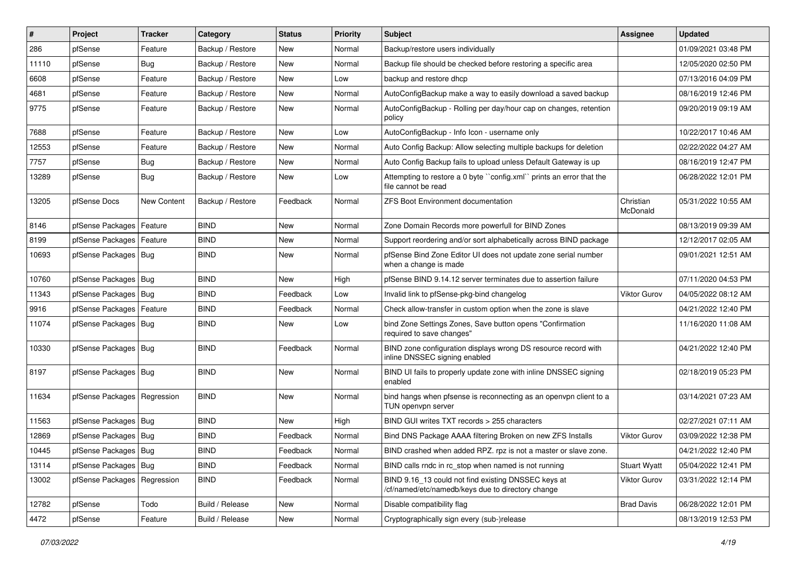| #     | Project                       | <b>Tracker</b> | Category         | <b>Status</b> | <b>Priority</b> | Subject                                                                                                  | Assignee              | <b>Updated</b>      |
|-------|-------------------------------|----------------|------------------|---------------|-----------------|----------------------------------------------------------------------------------------------------------|-----------------------|---------------------|
| 286   | pfSense                       | Feature        | Backup / Restore | New           | Normal          | Backup/restore users individually                                                                        |                       | 01/09/2021 03:48 PM |
| 11110 | pfSense                       | Bug            | Backup / Restore | New           | Normal          | Backup file should be checked before restoring a specific area                                           |                       | 12/05/2020 02:50 PM |
| 6608  | pfSense                       | Feature        | Backup / Restore | New           | Low             | backup and restore dhcp                                                                                  |                       | 07/13/2016 04:09 PM |
| 4681  | pfSense                       | Feature        | Backup / Restore | New           | Normal          | AutoConfigBackup make a way to easily download a saved backup                                            |                       | 08/16/2019 12:46 PM |
| 9775  | pfSense                       | Feature        | Backup / Restore | New           | Normal          | AutoConfigBackup - Rolling per day/hour cap on changes, retention<br>policy                              |                       | 09/20/2019 09:19 AM |
| 7688  | pfSense                       | Feature        | Backup / Restore | New           | Low             | AutoConfigBackup - Info Icon - username only                                                             |                       | 10/22/2017 10:46 AM |
| 12553 | pfSense                       | Feature        | Backup / Restore | New           | Normal          | Auto Config Backup: Allow selecting multiple backups for deletion                                        |                       | 02/22/2022 04:27 AM |
| 7757  | pfSense                       | <b>Bug</b>     | Backup / Restore | New           | Normal          | Auto Config Backup fails to upload unless Default Gateway is up                                          |                       | 08/16/2019 12:47 PM |
| 13289 | pfSense                       | Bug            | Backup / Restore | New           | Low             | Attempting to restore a 0 byte "config.xml" prints an error that the<br>file cannot be read              |                       | 06/28/2022 12:01 PM |
| 13205 | pfSense Docs                  | New Content    | Backup / Restore | Feedback      | Normal          | <b>ZFS Boot Environment documentation</b>                                                                | Christian<br>McDonald | 05/31/2022 10:55 AM |
| 8146  | pfSense Packages   Feature    |                | BIND             | New           | Normal          | Zone Domain Records more powerfull for BIND Zones                                                        |                       | 08/13/2019 09:39 AM |
| 8199  | pfSense Packages   Feature    |                | <b>BIND</b>      | New           | Normal          | Support reordering and/or sort alphabetically across BIND package                                        |                       | 12/12/2017 02:05 AM |
| 10693 | pfSense Packages   Bug        |                | <b>BIND</b>      | New           | Normal          | pfSense Bind Zone Editor UI does not update zone serial number<br>when a change is made                  |                       | 09/01/2021 12:51 AM |
| 10760 | pfSense Packages   Bug        |                | <b>BIND</b>      | New           | High            | pfSense BIND 9.14.12 server terminates due to assertion failure                                          |                       | 07/11/2020 04:53 PM |
| 11343 | pfSense Packages   Bug        |                | <b>BIND</b>      | Feedback      | Low             | Invalid link to pfSense-pkg-bind changelog                                                               | Viktor Gurov          | 04/05/2022 08:12 AM |
| 9916  | pfSense Packages   Feature    |                | <b>BIND</b>      | Feedback      | Normal          | Check allow-transfer in custom option when the zone is slave                                             |                       | 04/21/2022 12:40 PM |
| 11074 | pfSense Packages   Bug        |                | <b>BIND</b>      | New           | Low             | bind Zone Settings Zones, Save button opens "Confirmation<br>required to save changes"                   |                       | 11/16/2020 11:08 AM |
| 10330 | pfSense Packages   Bug        |                | <b>BIND</b>      | Feedback      | Normal          | BIND zone configuration displays wrong DS resource record with<br>inline DNSSEC signing enabled          |                       | 04/21/2022 12:40 PM |
| 8197  | pfSense Packages   Bug        |                | <b>BIND</b>      | New           | Normal          | BIND UI fails to properly update zone with inline DNSSEC signing<br>enabled                              |                       | 02/18/2019 05:23 PM |
| 11634 | pfSense Packages   Regression |                | <b>BIND</b>      | New           | Normal          | bind hangs when pfsense is reconnecting as an openvpn client to a<br>TUN openvpn server                  |                       | 03/14/2021 07:23 AM |
| 11563 | pfSense Packages   Bug        |                | <b>BIND</b>      | New           | High            | BIND GUI writes TXT records > 255 characters                                                             |                       | 02/27/2021 07:11 AM |
| 12869 | pfSense Packages   Bug        |                | <b>BIND</b>      | Feedback      | Normal          | Bind DNS Package AAAA filtering Broken on new ZFS Installs                                               | <b>Viktor Gurov</b>   | 03/09/2022 12:38 PM |
| 10445 | pfSense Packages   Bug        |                | <b>BIND</b>      | Feedback      | Normal          | BIND crashed when added RPZ. rpz is not a master or slave zone.                                          |                       | 04/21/2022 12:40 PM |
| 13114 | pfSense Packages   Bug        |                | <b>BIND</b>      | Feedback      | Normal          | BIND calls rndc in rc_stop when named is not running                                                     | <b>Stuart Wyatt</b>   | 05/04/2022 12:41 PM |
| 13002 | pfSense Packages   Regression |                | <b>BIND</b>      | Feedback      | Normal          | BIND 9.16_13 could not find existing DNSSEC keys at<br>/cf/named/etc/namedb/keys due to directory change | Viktor Gurov          | 03/31/2022 12:14 PM |
| 12782 | pfSense                       | Todo           | Build / Release  | <b>New</b>    | Normal          | Disable compatibility flag                                                                               | <b>Brad Davis</b>     | 06/28/2022 12:01 PM |
| 4472  | pfSense                       | Feature        | Build / Release  | New           | Normal          | Cryptographically sign every (sub-)release                                                               |                       | 08/13/2019 12:53 PM |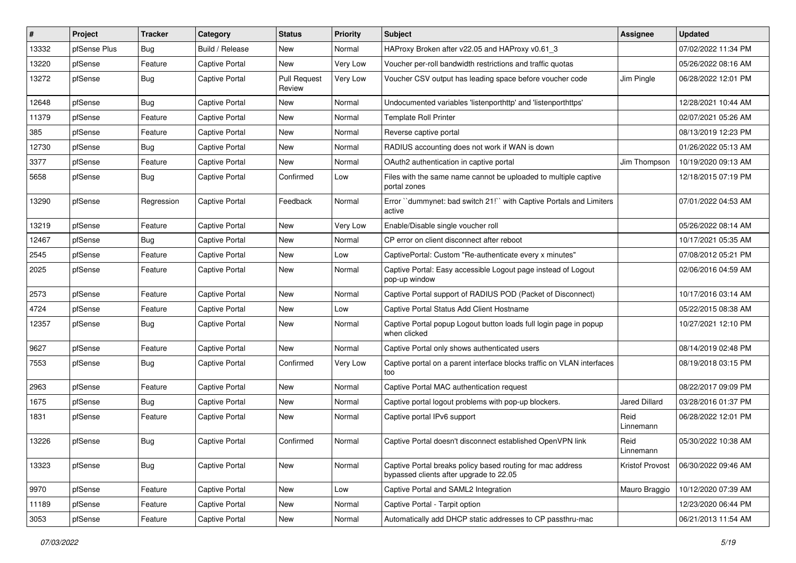| $\#$  | Project      | <b>Tracker</b> | Category              | <b>Status</b>                 | <b>Priority</b> | <b>Subject</b>                                                                                        | <b>Assignee</b>   | <b>Updated</b>      |
|-------|--------------|----------------|-----------------------|-------------------------------|-----------------|-------------------------------------------------------------------------------------------------------|-------------------|---------------------|
| 13332 | pfSense Plus | Bug            | Build / Release       | New                           | Normal          | HAProxy Broken after v22.05 and HAProxy v0.61_3                                                       |                   | 07/02/2022 11:34 PM |
| 13220 | pfSense      | Feature        | Captive Portal        | <b>New</b>                    | <b>Very Low</b> | Voucher per-roll bandwidth restrictions and traffic quotas                                            |                   | 05/26/2022 08:16 AM |
| 13272 | pfSense      | Bug            | <b>Captive Portal</b> | <b>Pull Request</b><br>Review | Very Low        | Voucher CSV output has leading space before voucher code                                              | Jim Pingle        | 06/28/2022 12:01 PM |
| 12648 | pfSense      | Bug            | <b>Captive Portal</b> | New                           | Normal          | Undocumented variables 'listenporthttp' and 'listenporthttps'                                         |                   | 12/28/2021 10:44 AM |
| 11379 | pfSense      | Feature        | Captive Portal        | New                           | Normal          | <b>Template Roll Printer</b>                                                                          |                   | 02/07/2021 05:26 AM |
| 385   | pfSense      | Feature        | <b>Captive Portal</b> | New                           | Normal          | Reverse captive portal                                                                                |                   | 08/13/2019 12:23 PM |
| 12730 | pfSense      | Bug            | <b>Captive Portal</b> | New                           | Normal          | RADIUS accounting does not work if WAN is down                                                        |                   | 01/26/2022 05:13 AM |
| 3377  | pfSense      | Feature        | <b>Captive Portal</b> | New                           | Normal          | OAuth2 authentication in captive portal                                                               | Jim Thompson      | 10/19/2020 09:13 AM |
| 5658  | pfSense      | <b>Bug</b>     | <b>Captive Portal</b> | Confirmed                     | Low             | Files with the same name cannot be uploaded to multiple captive<br>portal zones                       |                   | 12/18/2015 07:19 PM |
| 13290 | pfSense      | Regression     | <b>Captive Portal</b> | Feedback                      | Normal          | Error ``dummynet: bad switch 21!`` with Captive Portals and Limiters<br>active                        |                   | 07/01/2022 04:53 AM |
| 13219 | pfSense      | Feature        | <b>Captive Portal</b> | New                           | <b>Very Low</b> | Enable/Disable single voucher roll                                                                    |                   | 05/26/2022 08:14 AM |
| 12467 | pfSense      | Bug            | <b>Captive Portal</b> | New                           | Normal          | CP error on client disconnect after reboot                                                            |                   | 10/17/2021 05:35 AM |
| 2545  | pfSense      | Feature        | <b>Captive Portal</b> | New                           | Low             | CaptivePortal: Custom "Re-authenticate every x minutes"                                               |                   | 07/08/2012 05:21 PM |
| 2025  | pfSense      | Feature        | <b>Captive Portal</b> | New                           | Normal          | Captive Portal: Easy accessible Logout page instead of Logout<br>pop-up window                        |                   | 02/06/2016 04:59 AM |
| 2573  | pfSense      | Feature        | <b>Captive Portal</b> | New                           | Normal          | Captive Portal support of RADIUS POD (Packet of Disconnect)                                           |                   | 10/17/2016 03:14 AM |
| 4724  | pfSense      | Feature        | <b>Captive Portal</b> | New                           | Low             | Captive Portal Status Add Client Hostname                                                             |                   | 05/22/2015 08:38 AM |
| 12357 | pfSense      | Bug            | <b>Captive Portal</b> | New                           | Normal          | Captive Portal popup Logout button loads full login page in popup<br>when clicked                     |                   | 10/27/2021 12:10 PM |
| 9627  | pfSense      | Feature        | <b>Captive Portal</b> | New                           | Normal          | Captive Portal only shows authenticated users                                                         |                   | 08/14/2019 02:48 PM |
| 7553  | pfSense      | Bug            | <b>Captive Portal</b> | Confirmed                     | Very Low        | Captive portal on a parent interface blocks traffic on VLAN interfaces<br>too                         |                   | 08/19/2018 03:15 PM |
| 2963  | pfSense      | Feature        | <b>Captive Portal</b> | New                           | Normal          | Captive Portal MAC authentication request                                                             |                   | 08/22/2017 09:09 PM |
| 1675  | pfSense      | Bug            | <b>Captive Portal</b> | New                           | Normal          | Captive portal logout problems with pop-up blockers.                                                  | Jared Dillard     | 03/28/2016 01:37 PM |
| 1831  | pfSense      | Feature        | <b>Captive Portal</b> | New                           | Normal          | Captive portal IPv6 support                                                                           | Reid<br>Linnemann | 06/28/2022 12:01 PM |
| 13226 | pfSense      | Bug            | <b>Captive Portal</b> | Confirmed                     | Normal          | Captive Portal doesn't disconnect established OpenVPN link                                            | Reid<br>Linnemann | 05/30/2022 10:38 AM |
| 13323 | pfSense      | Bug            | Captive Portal        | New                           | Normal          | Captive Portal breaks policy based routing for mac address<br>bypassed clients after upgrade to 22.05 | Kristof Provost   | 06/30/2022 09:46 AM |
| 9970  | pfSense      | Feature        | Captive Portal        | New                           | Low             | Captive Portal and SAML2 Integration                                                                  | Mauro Braggio     | 10/12/2020 07:39 AM |
| 11189 | pfSense      | Feature        | Captive Portal        | New                           | Normal          | Captive Portal - Tarpit option                                                                        |                   | 12/23/2020 06:44 PM |
| 3053  | pfSense      | Feature        | Captive Portal        | New                           | Normal          | Automatically add DHCP static addresses to CP passthru-mac                                            |                   | 06/21/2013 11:54 AM |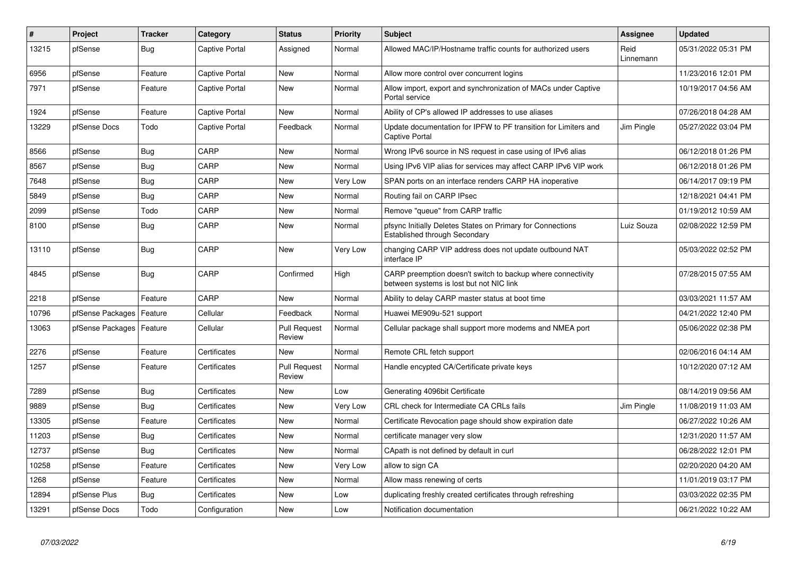| $\sharp$ | Project          | <b>Tracker</b> | Category              | <b>Status</b>                 | <b>Priority</b> | <b>Subject</b>                                                                                          | <b>Assignee</b>   | <b>Updated</b>      |
|----------|------------------|----------------|-----------------------|-------------------------------|-----------------|---------------------------------------------------------------------------------------------------------|-------------------|---------------------|
| 13215    | pfSense          | <b>Bug</b>     | Captive Portal        | Assigned                      | Normal          | Allowed MAC/IP/Hostname traffic counts for authorized users                                             | Reid<br>Linnemann | 05/31/2022 05:31 PM |
| 6956     | pfSense          | Feature        | Captive Portal        | New                           | Normal          | Allow more control over concurrent logins                                                               |                   | 11/23/2016 12:01 PM |
| 7971     | pfSense          | Feature        | <b>Captive Portal</b> | New                           | Normal          | Allow import, export and synchronization of MACs under Captive<br>Portal service                        |                   | 10/19/2017 04:56 AM |
| 1924     | pfSense          | Feature        | Captive Portal        | New                           | Normal          | Ability of CP's allowed IP addresses to use aliases                                                     |                   | 07/26/2018 04:28 AM |
| 13229    | pfSense Docs     | Todo           | <b>Captive Portal</b> | Feedback                      | Normal          | Update documentation for IPFW to PF transition for Limiters and<br><b>Captive Portal</b>                | Jim Pingle        | 05/27/2022 03:04 PM |
| 8566     | pfSense          | <b>Bug</b>     | CARP                  | <b>New</b>                    | Normal          | Wrong IPv6 source in NS request in case using of IPv6 alias                                             |                   | 06/12/2018 01:26 PM |
| 8567     | pfSense          | <b>Bug</b>     | CARP                  | New                           | Normal          | Using IPv6 VIP alias for services may affect CARP IPv6 VIP work                                         |                   | 06/12/2018 01:26 PM |
| 7648     | pfSense          | <b>Bug</b>     | CARP                  | New                           | Very Low        | SPAN ports on an interface renders CARP HA inoperative                                                  |                   | 06/14/2017 09:19 PM |
| 5849     | pfSense          | Bug            | CARP                  | New                           | Normal          | Routing fail on CARP IPsec                                                                              |                   | 12/18/2021 04:41 PM |
| 2099     | pfSense          | Todo           | CARP                  | New                           | Normal          | Remove "queue" from CARP traffic                                                                        |                   | 01/19/2012 10:59 AM |
| 8100     | pfSense          | Bug            | CARP                  | New                           | Normal          | pfsync Initially Deletes States on Primary for Connections<br>Established through Secondary             | Luiz Souza        | 02/08/2022 12:59 PM |
| 13110    | pfSense          | Bug            | CARP                  | New                           | Very Low        | changing CARP VIP address does not update outbound NAT<br>interface IP                                  |                   | 05/03/2022 02:52 PM |
| 4845     | pfSense          | <b>Bug</b>     | CARP                  | Confirmed                     | High            | CARP preemption doesn't switch to backup where connectivity<br>between systems is lost but not NIC link |                   | 07/28/2015 07:55 AM |
| 2218     | pfSense          | Feature        | CARP                  | New                           | Normal          | Ability to delay CARP master status at boot time                                                        |                   | 03/03/2021 11:57 AM |
| 10796    | pfSense Packages | Feature        | Cellular              | Feedback                      | Normal          | Huawei ME909u-521 support                                                                               |                   | 04/21/2022 12:40 PM |
| 13063    | pfSense Packages | Feature        | Cellular              | <b>Pull Request</b><br>Review | Normal          | Cellular package shall support more modems and NMEA port                                                |                   | 05/06/2022 02:38 PM |
| 2276     | pfSense          | Feature        | Certificates          | New                           | Normal          | Remote CRL fetch support                                                                                |                   | 02/06/2016 04:14 AM |
| 1257     | pfSense          | Feature        | Certificates          | <b>Pull Request</b><br>Review | Normal          | Handle encypted CA/Certificate private keys                                                             |                   | 10/12/2020 07:12 AM |
| 7289     | pfSense          | Bug            | Certificates          | New                           | Low             | Generating 4096bit Certificate                                                                          |                   | 08/14/2019 09:56 AM |
| 9889     | pfSense          | <b>Bug</b>     | Certificates          | New                           | Very Low        | CRL check for Intermediate CA CRLs fails                                                                | Jim Pingle        | 11/08/2019 11:03 AM |
| 13305    | pfSense          | Feature        | Certificates          | New                           | Normal          | Certificate Revocation page should show expiration date                                                 |                   | 06/27/2022 10:26 AM |
| 11203    | pfSense          | Bug            | Certificates          | New                           | Normal          | certificate manager very slow                                                                           |                   | 12/31/2020 11:57 AM |
| 12737    | pfSense          | Bug            | Certificates          | <b>New</b>                    | Normal          | CApath is not defined by default in curl                                                                |                   | 06/28/2022 12:01 PM |
| 10258    | pfSense          | Feature        | Certificates          | New                           | Very Low        | allow to sign CA                                                                                        |                   | 02/20/2020 04:20 AM |
| 1268     | pfSense          | Feature        | Certificates          | New                           | Normal          | Allow mass renewing of certs                                                                            |                   | 11/01/2019 03:17 PM |
| 12894    | pfSense Plus     | Bug            | Certificates          | <b>New</b>                    | Low             | duplicating freshly created certificates through refreshing                                             |                   | 03/03/2022 02:35 PM |
| 13291    | pfSense Docs     | Todo           | Configuration         | New                           | Low             | Notification documentation                                                                              |                   | 06/21/2022 10:22 AM |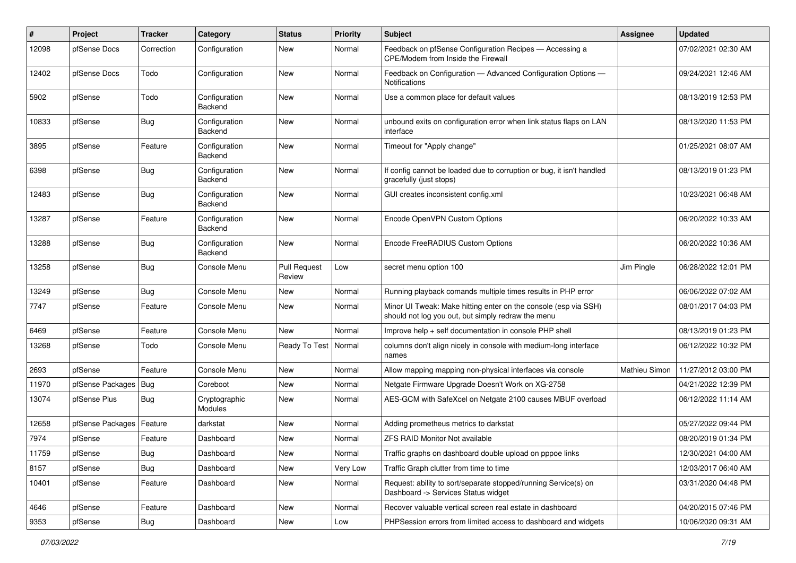| #     | Project          | <b>Tracker</b> | Category                        | <b>Status</b>                 | <b>Priority</b> | Subject                                                                                                               | Assignee      | <b>Updated</b>      |
|-------|------------------|----------------|---------------------------------|-------------------------------|-----------------|-----------------------------------------------------------------------------------------------------------------------|---------------|---------------------|
| 12098 | pfSense Docs     | Correction     | Configuration                   | <b>New</b>                    | Normal          | Feedback on pfSense Configuration Recipes - Accessing a<br>CPE/Modem from Inside the Firewall                         |               | 07/02/2021 02:30 AM |
| 12402 | pfSense Docs     | Todo           | Configuration                   | <b>New</b>                    | Normal          | Feedback on Configuration - Advanced Configuration Options -<br><b>Notifications</b>                                  |               | 09/24/2021 12:46 AM |
| 5902  | pfSense          | Todo           | Configuration<br>Backend        | <b>New</b>                    | Normal          | Use a common place for default values                                                                                 |               | 08/13/2019 12:53 PM |
| 10833 | pfSense          | Bug            | Configuration<br>Backend        | <b>New</b>                    | Normal          | unbound exits on configuration error when link status flaps on LAN<br>interface                                       |               | 08/13/2020 11:53 PM |
| 3895  | pfSense          | Feature        | Configuration<br><b>Backend</b> | <b>New</b>                    | Normal          | Timeout for "Apply change"                                                                                            |               | 01/25/2021 08:07 AM |
| 6398  | pfSense          | <b>Bug</b>     | Configuration<br><b>Backend</b> | <b>New</b>                    | Normal          | If config cannot be loaded due to corruption or bug, it isn't handled<br>gracefully (just stops)                      |               | 08/13/2019 01:23 PM |
| 12483 | pfSense          | Bug            | Configuration<br>Backend        | <b>New</b>                    | Normal          | GUI creates inconsistent config.xml                                                                                   |               | 10/23/2021 06:48 AM |
| 13287 | pfSense          | Feature        | Configuration<br>Backend        | <b>New</b>                    | Normal          | Encode OpenVPN Custom Options                                                                                         |               | 06/20/2022 10:33 AM |
| 13288 | pfSense          | Bug            | Configuration<br>Backend        | <b>New</b>                    | Normal          | Encode FreeRADIUS Custom Options                                                                                      |               | 06/20/2022 10:36 AM |
| 13258 | pfSense          | <b>Bug</b>     | Console Menu                    | <b>Pull Request</b><br>Review | Low             | secret menu option 100                                                                                                | Jim Pingle    | 06/28/2022 12:01 PM |
| 13249 | pfSense          | <b>Bug</b>     | Console Menu                    | New                           | Normal          | Running playback comands multiple times results in PHP error                                                          |               | 06/06/2022 07:02 AM |
| 7747  | pfSense          | Feature        | Console Menu                    | New                           | Normal          | Minor UI Tweak: Make hitting enter on the console (esp via SSH)<br>should not log you out, but simply redraw the menu |               | 08/01/2017 04:03 PM |
| 6469  | pfSense          | Feature        | Console Menu                    | <b>New</b>                    | Normal          | Improve help + self documentation in console PHP shell                                                                |               | 08/13/2019 01:23 PM |
| 13268 | pfSense          | Todo           | Console Menu                    | Ready To Test                 | Normal          | columns don't align nicely in console with medium-long interface<br>names                                             |               | 06/12/2022 10:32 PM |
| 2693  | pfSense          | Feature        | Console Menu                    | <b>New</b>                    | Normal          | Allow mapping mapping non-physical interfaces via console                                                             | Mathieu Simon | 11/27/2012 03:00 PM |
| 11970 | pfSense Packages | <b>Bug</b>     | Coreboot                        | New                           | Normal          | Netgate Firmware Upgrade Doesn't Work on XG-2758                                                                      |               | 04/21/2022 12:39 PM |
| 13074 | pfSense Plus     | Bug            | Cryptographic<br>Modules        | New                           | Normal          | AES-GCM with SafeXcel on Netgate 2100 causes MBUF overload                                                            |               | 06/12/2022 11:14 AM |
| 12658 | pfSense Packages | Feature        | darkstat                        | <b>New</b>                    | Normal          | Adding prometheus metrics to darkstat                                                                                 |               | 05/27/2022 09:44 PM |
| 7974  | pfSense          | Feature        | Dashboard                       | New                           | Normal          | <b>ZFS RAID Monitor Not available</b>                                                                                 |               | 08/20/2019 01:34 PM |
| 11759 | pfSense          | <b>Bug</b>     | Dashboard                       | New                           | Normal          | Traffic graphs on dashboard double upload on pppoe links                                                              |               | 12/30/2021 04:00 AM |
| 8157  | pfSense          | <b>Bug</b>     | Dashboard                       | <b>New</b>                    | Very Low        | Traffic Graph clutter from time to time                                                                               |               | 12/03/2017 06:40 AM |
| 10401 | pfSense          | Feature        | Dashboard                       | New                           | Normal          | Request: ability to sort/separate stopped/running Service(s) on<br>Dashboard -> Services Status widget                |               | 03/31/2020 04:48 PM |
| 4646  | pfSense          | Feature        | Dashboard                       | New                           | Normal          | Recover valuable vertical screen real estate in dashboard                                                             |               | 04/20/2015 07:46 PM |
| 9353  | pfSense          | Bug            | Dashboard                       | New                           | Low             | PHPSession errors from limited access to dashboard and widgets                                                        |               | 10/06/2020 09:31 AM |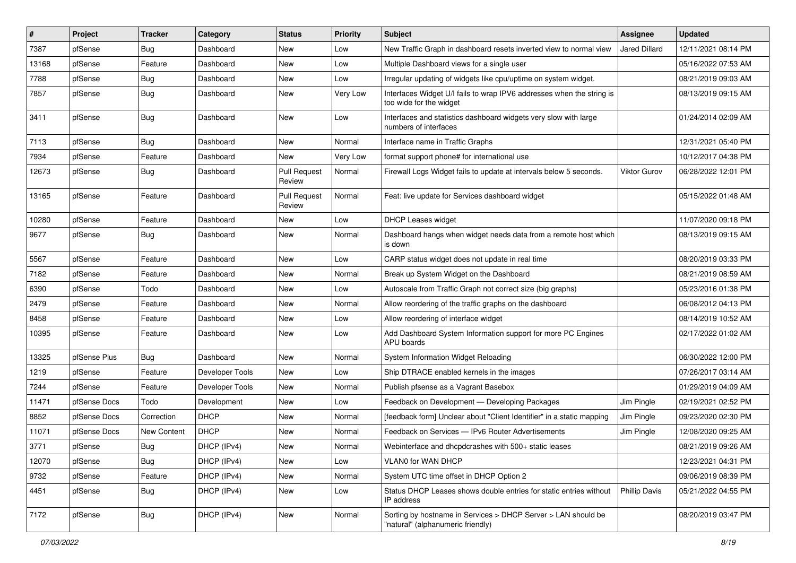| $\vert$ # | Project      | <b>Tracker</b>     | Category        | <b>Status</b>                 | <b>Priority</b> | <b>Subject</b>                                                                                     | <b>Assignee</b>      | <b>Updated</b>      |
|-----------|--------------|--------------------|-----------------|-------------------------------|-----------------|----------------------------------------------------------------------------------------------------|----------------------|---------------------|
| 7387      | pfSense      | <b>Bug</b>         | Dashboard       | New                           | Low             | New Traffic Graph in dashboard resets inverted view to normal view                                 | Jared Dillard        | 12/11/2021 08:14 PM |
| 13168     | pfSense      | Feature            | Dashboard       | New                           | Low             | Multiple Dashboard views for a single user                                                         |                      | 05/16/2022 07:53 AM |
| 7788      | pfSense      | Bug                | Dashboard       | New                           | Low             | Irregular updating of widgets like cpu/uptime on system widget.                                    |                      | 08/21/2019 09:03 AM |
| 7857      | pfSense      | <b>Bug</b>         | Dashboard       | New                           | Very Low        | Interfaces Widget U/I fails to wrap IPV6 addresses when the string is<br>too wide for the widget   |                      | 08/13/2019 09:15 AM |
| 3411      | pfSense      | Bug                | Dashboard       | New                           | Low             | Interfaces and statistics dashboard widgets very slow with large<br>numbers of interfaces          |                      | 01/24/2014 02:09 AM |
| 7113      | pfSense      | Bug                | Dashboard       | <b>New</b>                    | Normal          | Interface name in Traffic Graphs                                                                   |                      | 12/31/2021 05:40 PM |
| 7934      | pfSense      | Feature            | Dashboard       | New                           | Very Low        | format support phone# for international use                                                        |                      | 10/12/2017 04:38 PM |
| 12673     | pfSense      | Bug                | Dashboard       | <b>Pull Request</b><br>Review | Normal          | Firewall Logs Widget fails to update at intervals below 5 seconds.                                 | <b>Viktor Gurov</b>  | 06/28/2022 12:01 PM |
| 13165     | pfSense      | Feature            | Dashboard       | <b>Pull Request</b><br>Review | Normal          | Feat: live update for Services dashboard widget                                                    |                      | 05/15/2022 01:48 AM |
| 10280     | pfSense      | Feature            | Dashboard       | New                           | Low             | DHCP Leases widget                                                                                 |                      | 11/07/2020 09:18 PM |
| 9677      | pfSense      | Bug                | Dashboard       | New                           | Normal          | Dashboard hangs when widget needs data from a remote host which<br>is down                         |                      | 08/13/2019 09:15 AM |
| 5567      | pfSense      | Feature            | Dashboard       | New                           | Low             | CARP status widget does not update in real time                                                    |                      | 08/20/2019 03:33 PM |
| 7182      | pfSense      | Feature            | Dashboard       | New                           | Normal          | Break up System Widget on the Dashboard                                                            |                      | 08/21/2019 08:59 AM |
| 6390      | pfSense      | Todo               | Dashboard       | New                           | Low             | Autoscale from Traffic Graph not correct size (big graphs)                                         |                      | 05/23/2016 01:38 PM |
| 2479      | pfSense      | Feature            | Dashboard       | New                           | Normal          | Allow reordering of the traffic graphs on the dashboard                                            |                      | 06/08/2012 04:13 PM |
| 8458      | pfSense      | Feature            | Dashboard       | New                           | Low             | Allow reordering of interface widget                                                               |                      | 08/14/2019 10:52 AM |
| 10395     | pfSense      | Feature            | Dashboard       | New                           | Low             | Add Dashboard System Information support for more PC Engines<br>APU boards                         |                      | 02/17/2022 01:02 AM |
| 13325     | pfSense Plus | Bug                | Dashboard       | <b>New</b>                    | Normal          | System Information Widget Reloading                                                                |                      | 06/30/2022 12:00 PM |
| 1219      | pfSense      | Feature            | Developer Tools | New                           | Low             | Ship DTRACE enabled kernels in the images                                                          |                      | 07/26/2017 03:14 AM |
| 7244      | pfSense      | Feature            | Developer Tools | New                           | Normal          | Publish pfsense as a Vagrant Basebox                                                               |                      | 01/29/2019 04:09 AM |
| 11471     | pfSense Docs | Todo               | Development     | New                           | Low             | Feedback on Development - Developing Packages                                                      | Jim Pingle           | 02/19/2021 02:52 PM |
| 8852      | pfSense Docs | Correction         | <b>DHCP</b>     | New                           | Normal          | [feedback form] Unclear about "Client Identifier" in a static mapping                              | Jim Pingle           | 09/23/2020 02:30 PM |
| 11071     | pfSense Docs | <b>New Content</b> | <b>DHCP</b>     | <b>New</b>                    | Normal          | Feedback on Services - IPv6 Router Advertisements                                                  | Jim Pingle           | 12/08/2020 09:25 AM |
| 3771      | pfSense      | Bug                | DHCP (IPv4)     | New                           | Normal          | Webinterface and dhcpdcrashes with 500+ static leases                                              |                      | 08/21/2019 09:26 AM |
| 12070     | pfSense      | Bug                | DHCP (IPv4)     | New                           | Low             | VLAN0 for WAN DHCP                                                                                 |                      | 12/23/2021 04:31 PM |
| 9732      | pfSense      | Feature            | DHCP (IPv4)     | <b>New</b>                    | Normal          | System UTC time offset in DHCP Option 2                                                            |                      | 09/06/2019 08:39 PM |
| 4451      | pfSense      | <b>Bug</b>         | DHCP (IPv4)     | New                           | Low             | Status DHCP Leases shows double entries for static entries without<br>IP address                   | <b>Phillip Davis</b> | 05/21/2022 04:55 PM |
| 7172      | pfSense      | <b>Bug</b>         | DHCP (IPv4)     | New                           | Normal          | Sorting by hostname in Services > DHCP Server > LAN should be<br>"natural" (alphanumeric friendly) |                      | 08/20/2019 03:47 PM |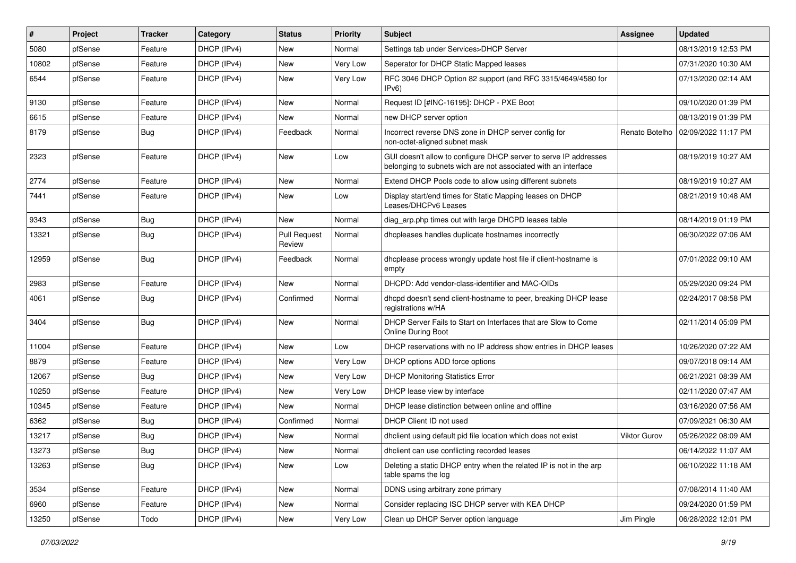| $\vert$ # | Project | <b>Tracker</b> | Category    | <b>Status</b>                 | <b>Priority</b> | Subject                                                                                                                            | <b>Assignee</b> | <b>Updated</b>      |
|-----------|---------|----------------|-------------|-------------------------------|-----------------|------------------------------------------------------------------------------------------------------------------------------------|-----------------|---------------------|
| 5080      | pfSense | Feature        | DHCP (IPv4) | New                           | Normal          | Settings tab under Services>DHCP Server                                                                                            |                 | 08/13/2019 12:53 PM |
| 10802     | pfSense | Feature        | DHCP (IPv4) | New                           | Very Low        | Seperator for DHCP Static Mapped leases                                                                                            |                 | 07/31/2020 10:30 AM |
| 6544      | pfSense | Feature        | DHCP (IPv4) | New                           | Very Low        | RFC 3046 DHCP Option 82 support (and RFC 3315/4649/4580 for<br>IPv6                                                                |                 | 07/13/2020 02:14 AM |
| 9130      | pfSense | Feature        | DHCP (IPv4) | <b>New</b>                    | Normal          | Request ID [#INC-16195]: DHCP - PXE Boot                                                                                           |                 | 09/10/2020 01:39 PM |
| 6615      | pfSense | Feature        | DHCP (IPv4) | New                           | Normal          | new DHCP server option                                                                                                             |                 | 08/13/2019 01:39 PM |
| 8179      | pfSense | Bug            | DHCP (IPv4) | Feedback                      | Normal          | Incorrect reverse DNS zone in DHCP server config for<br>non-octet-aligned subnet mask                                              | Renato Botelho  | 02/09/2022 11:17 PM |
| 2323      | pfSense | Feature        | DHCP (IPv4) | <b>New</b>                    | Low             | GUI doesn't allow to configure DHCP server to serve IP addresses<br>belonging to subnets wich are not associated with an interface |                 | 08/19/2019 10:27 AM |
| 2774      | pfSense | Feature        | DHCP (IPv4) | <b>New</b>                    | Normal          | Extend DHCP Pools code to allow using different subnets                                                                            |                 | 08/19/2019 10:27 AM |
| 7441      | pfSense | Feature        | DHCP (IPv4) | New                           | Low             | Display start/end times for Static Mapping leases on DHCP<br>Leases/DHCPv6 Leases                                                  |                 | 08/21/2019 10:48 AM |
| 9343      | pfSense | Bug            | DHCP (IPv4) | <b>New</b>                    | Normal          | diag arp.php times out with large DHCPD leases table                                                                               |                 | 08/14/2019 01:19 PM |
| 13321     | pfSense | Bug            | DHCP (IPv4) | <b>Pull Request</b><br>Review | Normal          | dhcpleases handles duplicate hostnames incorrectly                                                                                 |                 | 06/30/2022 07:06 AM |
| 12959     | pfSense | Bug            | DHCP (IPv4) | Feedback                      | Normal          | dhcplease process wrongly update host file if client-hostname is<br>empty                                                          |                 | 07/01/2022 09:10 AM |
| 2983      | pfSense | Feature        | DHCP (IPv4) | <b>New</b>                    | Normal          | DHCPD: Add vendor-class-identifier and MAC-OIDs                                                                                    |                 | 05/29/2020 09:24 PM |
| 4061      | pfSense | Bug            | DHCP (IPv4) | Confirmed                     | Normal          | dhcpd doesn't send client-hostname to peer, breaking DHCP lease<br>registrations w/HA                                              |                 | 02/24/2017 08:58 PM |
| 3404      | pfSense | Bug            | DHCP (IPv4) | <b>New</b>                    | Normal          | DHCP Server Fails to Start on Interfaces that are Slow to Come<br>Online During Boot                                               |                 | 02/11/2014 05:09 PM |
| 11004     | pfSense | Feature        | DHCP (IPv4) | <b>New</b>                    | Low             | DHCP reservations with no IP address show entries in DHCP leases                                                                   |                 | 10/26/2020 07:22 AM |
| 8879      | pfSense | Feature        | DHCP (IPv4) | New                           | Very Low        | DHCP options ADD force options                                                                                                     |                 | 09/07/2018 09:14 AM |
| 12067     | pfSense | <b>Bug</b>     | DHCP (IPv4) | New                           | Very Low        | <b>DHCP Monitoring Statistics Error</b>                                                                                            |                 | 06/21/2021 08:39 AM |
| 10250     | pfSense | Feature        | DHCP (IPv4) | New                           | Very Low        | DHCP lease view by interface                                                                                                       |                 | 02/11/2020 07:47 AM |
| 10345     | pfSense | Feature        | DHCP (IPv4) | New                           | Normal          | DHCP lease distinction between online and offline                                                                                  |                 | 03/16/2020 07:56 AM |
| 6362      | pfSense | Bug            | DHCP (IPv4) | Confirmed                     | Normal          | DHCP Client ID not used                                                                                                            |                 | 07/09/2021 06:30 AM |
| 13217     | pfSense | Bug            | DHCP (IPv4) | New                           | Normal          | dhclient using default pid file location which does not exist                                                                      | Viktor Gurov    | 05/26/2022 08:09 AM |
| 13273     | pfSense | <b>Bug</b>     | DHCP (IPv4) | New                           | Normal          | dhclient can use conflicting recorded leases                                                                                       |                 | 06/14/2022 11:07 AM |
| 13263     | pfSense | <b>Bug</b>     | DHCP (IPv4) | New                           | Low             | Deleting a static DHCP entry when the related IP is not in the arp<br>table spams the log                                          |                 | 06/10/2022 11:18 AM |
| 3534      | pfSense | Feature        | DHCP (IPv4) | New                           | Normal          | DDNS using arbitrary zone primary                                                                                                  |                 | 07/08/2014 11:40 AM |
| 6960      | pfSense | Feature        | DHCP (IPv4) | New                           | Normal          | Consider replacing ISC DHCP server with KEA DHCP                                                                                   |                 | 09/24/2020 01:59 PM |
| 13250     | pfSense | Todo           | DHCP (IPv4) | New                           | Very Low        | Clean up DHCP Server option language                                                                                               | Jim Pingle      | 06/28/2022 12:01 PM |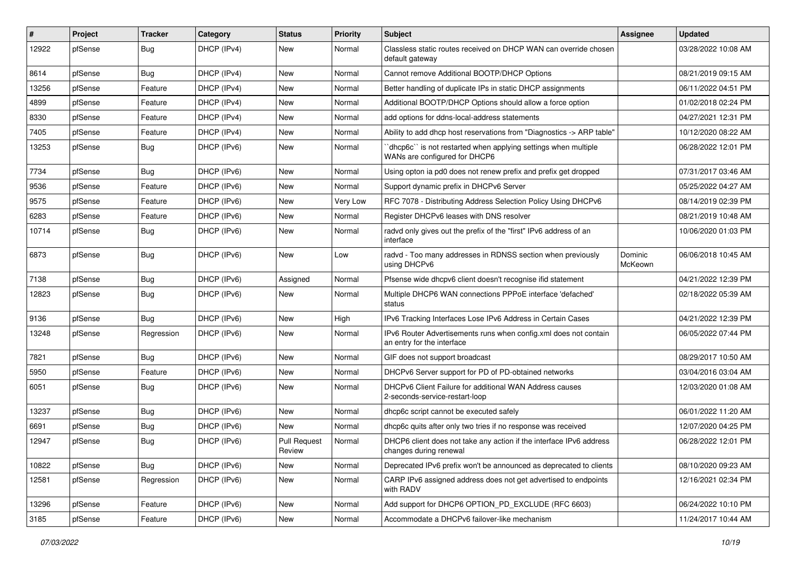| #     | Project | Tracker    | Category    | <b>Status</b>                 | <b>Priority</b> | <b>Subject</b>                                                                                 | Assignee           | <b>Updated</b>      |
|-------|---------|------------|-------------|-------------------------------|-----------------|------------------------------------------------------------------------------------------------|--------------------|---------------------|
| 12922 | pfSense | Bug        | DHCP (IPv4) | New                           | Normal          | Classless static routes received on DHCP WAN can override chosen<br>default gateway            |                    | 03/28/2022 10:08 AM |
| 8614  | pfSense | Bug        | DHCP (IPv4) | New                           | Normal          | Cannot remove Additional BOOTP/DHCP Options                                                    |                    | 08/21/2019 09:15 AM |
| 13256 | pfSense | Feature    | DHCP (IPv4) | New                           | Normal          | Better handling of duplicate IPs in static DHCP assignments                                    |                    | 06/11/2022 04:51 PM |
| 4899  | pfSense | Feature    | DHCP (IPv4) | <b>New</b>                    | Normal          | Additional BOOTP/DHCP Options should allow a force option                                      |                    | 01/02/2018 02:24 PM |
| 8330  | pfSense | Feature    | DHCP (IPv4) | New                           | Normal          | add options for ddns-local-address statements                                                  |                    | 04/27/2021 12:31 PM |
| 7405  | pfSense | Feature    | DHCP (IPv4) | New                           | Normal          | Ability to add dhcp host reservations from "Diagnostics -> ARP table"                          |                    | 10/12/2020 08:22 AM |
| 13253 | pfSense | Bug        | DHCP (IPv6) | New                           | Normal          | dhcp6c" is not restarted when applying settings when multiple<br>WANs are configured for DHCP6 |                    | 06/28/2022 12:01 PM |
| 7734  | pfSense | Bug        | DHCP (IPv6) | New                           | Normal          | Using opton ia pd0 does not renew prefix and prefix get dropped                                |                    | 07/31/2017 03:46 AM |
| 9536  | pfSense | Feature    | DHCP (IPv6) | New                           | Normal          | Support dynamic prefix in DHCPv6 Server                                                        |                    | 05/25/2022 04:27 AM |
| 9575  | pfSense | Feature    | DHCP (IPv6) | New                           | Very Low        | RFC 7078 - Distributing Address Selection Policy Using DHCPv6                                  |                    | 08/14/2019 02:39 PM |
| 6283  | pfSense | Feature    | DHCP (IPv6) | <b>New</b>                    | Normal          | Register DHCPv6 leases with DNS resolver                                                       |                    | 08/21/2019 10:48 AM |
| 10714 | pfSense | <b>Bug</b> | DHCP (IPv6) | New                           | Normal          | radvd only gives out the prefix of the "first" IPv6 address of an<br>interface                 |                    | 10/06/2020 01:03 PM |
| 6873  | pfSense | Bug        | DHCP (IPv6) | New                           | Low             | radvd - Too many addresses in RDNSS section when previously<br>using DHCPv6                    | Dominic<br>McKeown | 06/06/2018 10:45 AM |
| 7138  | pfSense | Bug        | DHCP (IPv6) | Assigned                      | Normal          | Pfsense wide dhcpv6 client doesn't recognise ifid statement                                    |                    | 04/21/2022 12:39 PM |
| 12823 | pfSense | Bug        | DHCP (IPv6) | New                           | Normal          | Multiple DHCP6 WAN connections PPPoE interface 'defached'<br>status                            |                    | 02/18/2022 05:39 AM |
| 9136  | pfSense | Bug        | DHCP (IPv6) | <b>New</b>                    | High            | IPv6 Tracking Interfaces Lose IPv6 Address in Certain Cases                                    |                    | 04/21/2022 12:39 PM |
| 13248 | pfSense | Regression | DHCP (IPv6) | New                           | Normal          | IPv6 Router Advertisements runs when config.xml does not contain<br>an entry for the interface |                    | 06/05/2022 07:44 PM |
| 7821  | pfSense | Bug        | DHCP (IPv6) | <b>New</b>                    | Normal          | GIF does not support broadcast                                                                 |                    | 08/29/2017 10:50 AM |
| 5950  | pfSense | Feature    | DHCP (IPv6) | <b>New</b>                    | Normal          | DHCPv6 Server support for PD of PD-obtained networks                                           |                    | 03/04/2016 03:04 AM |
| 6051  | pfSense | Bug        | DHCP (IPv6) | New                           | Normal          | DHCPv6 Client Failure for additional WAN Address causes<br>2-seconds-service-restart-loop      |                    | 12/03/2020 01:08 AM |
| 13237 | pfSense | Bug        | DHCP (IPv6) | <b>New</b>                    | Normal          | dhcp6c script cannot be executed safely                                                        |                    | 06/01/2022 11:20 AM |
| 6691  | pfSense | <b>Bug</b> | DHCP (IPv6) | <b>New</b>                    | Normal          | dhcp6c quits after only two tries if no response was received                                  |                    | 12/07/2020 04:25 PM |
| 12947 | pfSense | Bug        | DHCP (IPv6) | <b>Pull Request</b><br>Review | Normal          | DHCP6 client does not take any action if the interface IPv6 address<br>changes during renewal  |                    | 06/28/2022 12:01 PM |
| 10822 | pfSense | <b>Bug</b> | DHCP (IPv6) | New                           | Normal          | Deprecated IPv6 prefix won't be announced as deprecated to clients                             |                    | 08/10/2020 09:23 AM |
| 12581 | pfSense | Regression | DHCP (IPv6) | New                           | Normal          | CARP IPv6 assigned address does not get advertised to endpoints<br>with RADV                   |                    | 12/16/2021 02:34 PM |
| 13296 | pfSense | Feature    | DHCP (IPv6) | New                           | Normal          | Add support for DHCP6 OPTION_PD_EXCLUDE (RFC 6603)                                             |                    | 06/24/2022 10:10 PM |
| 3185  | pfSense | Feature    | DHCP (IPv6) | New                           | Normal          | Accommodate a DHCPv6 failover-like mechanism                                                   |                    | 11/24/2017 10:44 AM |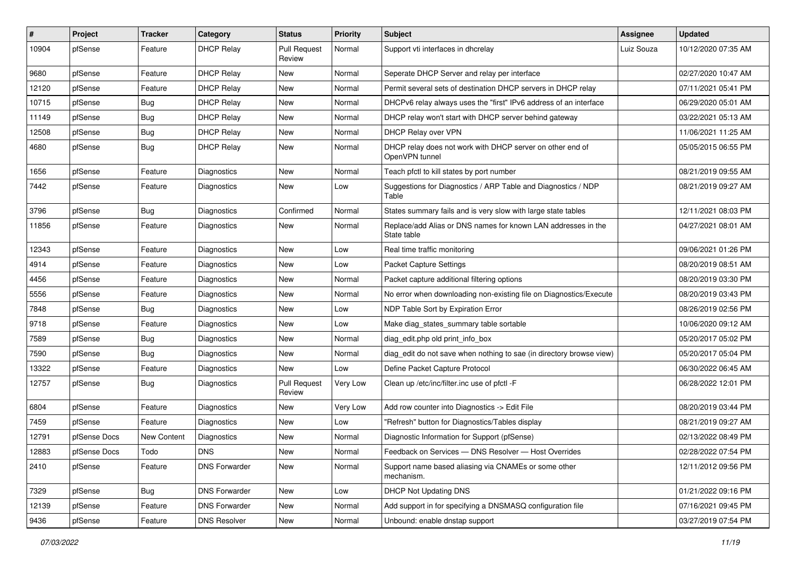| #     | Project      | <b>Tracker</b> | Category             | <b>Status</b>                 | <b>Priority</b> | Subject                                                                      | Assignee   | <b>Updated</b>      |
|-------|--------------|----------------|----------------------|-------------------------------|-----------------|------------------------------------------------------------------------------|------------|---------------------|
| 10904 | pfSense      | Feature        | <b>DHCP Relay</b>    | <b>Pull Request</b><br>Review | Normal          | Support vti interfaces in dhcrelay                                           | Luiz Souza | 10/12/2020 07:35 AM |
| 9680  | pfSense      | Feature        | <b>DHCP Relay</b>    | New                           | Normal          | Seperate DHCP Server and relay per interface                                 |            | 02/27/2020 10:47 AM |
| 12120 | pfSense      | Feature        | <b>DHCP Relay</b>    | New                           | Normal          | Permit several sets of destination DHCP servers in DHCP relay                |            | 07/11/2021 05:41 PM |
| 10715 | pfSense      | Bug            | <b>DHCP Relay</b>    | <b>New</b>                    | Normal          | DHCPv6 relay always uses the "first" IPv6 address of an interface            |            | 06/29/2020 05:01 AM |
| 11149 | pfSense      | <b>Bug</b>     | <b>DHCP Relay</b>    | New                           | Normal          | DHCP relay won't start with DHCP server behind gateway                       |            | 03/22/2021 05:13 AM |
| 12508 | pfSense      | <b>Bug</b>     | <b>DHCP Relay</b>    | New                           | Normal          | DHCP Relay over VPN                                                          |            | 11/06/2021 11:25 AM |
| 4680  | pfSense      | Bug            | <b>DHCP Relay</b>    | New                           | Normal          | DHCP relay does not work with DHCP server on other end of<br>OpenVPN tunnel  |            | 05/05/2015 06:55 PM |
| 1656  | pfSense      | Feature        | <b>Diagnostics</b>   | <b>New</b>                    | Normal          | Teach pfctl to kill states by port number                                    |            | 08/21/2019 09:55 AM |
| 7442  | pfSense      | Feature        | Diagnostics          | New                           | Low             | Suggestions for Diagnostics / ARP Table and Diagnostics / NDP<br>Table       |            | 08/21/2019 09:27 AM |
| 3796  | pfSense      | Bug            | <b>Diagnostics</b>   | Confirmed                     | Normal          | States summary fails and is very slow with large state tables                |            | 12/11/2021 08:03 PM |
| 11856 | pfSense      | Feature        | Diagnostics          | New                           | Normal          | Replace/add Alias or DNS names for known LAN addresses in the<br>State table |            | 04/27/2021 08:01 AM |
| 12343 | pfSense      | Feature        | <b>Diagnostics</b>   | <b>New</b>                    | Low             | Real time traffic monitoring                                                 |            | 09/06/2021 01:26 PM |
| 4914  | pfSense      | Feature        | Diagnostics          | New                           | Low             | Packet Capture Settings                                                      |            | 08/20/2019 08:51 AM |
| 4456  | pfSense      | Feature        | <b>Diagnostics</b>   | New                           | Normal          | Packet capture additional filtering options                                  |            | 08/20/2019 03:30 PM |
| 5556  | pfSense      | Feature        | Diagnostics          | New                           | Normal          | No error when downloading non-existing file on Diagnostics/Execute           |            | 08/20/2019 03:43 PM |
| 7848  | pfSense      | <b>Bug</b>     | <b>Diagnostics</b>   | New                           | Low             | NDP Table Sort by Expiration Error                                           |            | 08/26/2019 02:56 PM |
| 9718  | pfSense      | Feature        | Diagnostics          | New                           | Low             | Make diag_states_summary table sortable                                      |            | 10/06/2020 09:12 AM |
| 7589  | pfSense      | <b>Bug</b>     | Diagnostics          | New                           | Normal          | diag edit.php old print info box                                             |            | 05/20/2017 05:02 PM |
| 7590  | pfSense      | Bug            | Diagnostics          | New                           | Normal          | diag_edit do not save when nothing to sae (in directory browse view)         |            | 05/20/2017 05:04 PM |
| 13322 | pfSense      | Feature        | Diagnostics          | New                           | Low             | Define Packet Capture Protocol                                               |            | 06/30/2022 06:45 AM |
| 12757 | pfSense      | <b>Bug</b>     | Diagnostics          | <b>Pull Request</b><br>Review | Very Low        | Clean up /etc/inc/filter.inc use of pfctl -F                                 |            | 06/28/2022 12:01 PM |
| 6804  | pfSense      | Feature        | <b>Diagnostics</b>   | New                           | Very Low        | Add row counter into Diagnostics -> Edit File                                |            | 08/20/2019 03:44 PM |
| 7459  | pfSense      | Feature        | Diagnostics          | New                           | Low             | "Refresh" button for Diagnostics/Tables display                              |            | 08/21/2019 09:27 AM |
| 12791 | pfSense Docs | New Content    | Diagnostics          | <b>New</b>                    | Normal          | Diagnostic Information for Support (pfSense)                                 |            | 02/13/2022 08:49 PM |
| 12883 | pfSense Docs | Todo           | <b>DNS</b>           | <b>New</b>                    | Normal          | Feedback on Services - DNS Resolver - Host Overrides                         |            | 02/28/2022 07:54 PM |
| 2410  | pfSense      | Feature        | <b>DNS Forwarder</b> | <b>New</b>                    | Normal          | Support name based aliasing via CNAMEs or some other<br>mechanism.           |            | 12/11/2012 09:56 PM |
| 7329  | pfSense      | <b>Bug</b>     | <b>DNS Forwarder</b> | New                           | Low             | DHCP Not Updating DNS                                                        |            | 01/21/2022 09:16 PM |
| 12139 | pfSense      | Feature        | <b>DNS Forwarder</b> | New                           | Normal          | Add support in for specifying a DNSMASQ configuration file                   |            | 07/16/2021 09:45 PM |
| 9436  | pfSense      | Feature        | <b>DNS Resolver</b>  | New                           | Normal          | Unbound: enable dnstap support                                               |            | 03/27/2019 07:54 PM |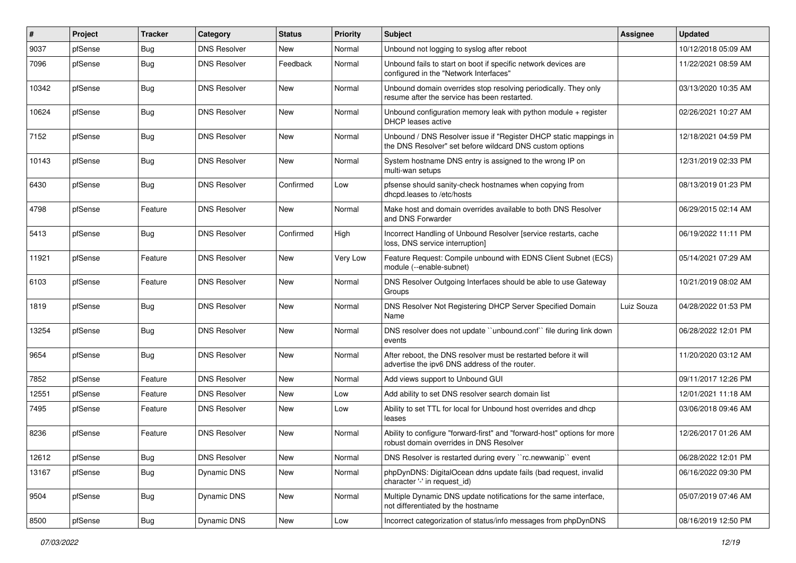| $\vert$ # | Project | <b>Tracker</b> | Category            | <b>Status</b> | <b>Priority</b> | <b>Subject</b>                                                                                                                | <b>Assignee</b> | <b>Updated</b>      |
|-----------|---------|----------------|---------------------|---------------|-----------------|-------------------------------------------------------------------------------------------------------------------------------|-----------------|---------------------|
| 9037      | pfSense | Bug            | <b>DNS Resolver</b> | New           | Normal          | Unbound not logging to syslog after reboot                                                                                    |                 | 10/12/2018 05:09 AM |
| 7096      | pfSense | <b>Bug</b>     | <b>DNS Resolver</b> | Feedback      | Normal          | Unbound fails to start on boot if specific network devices are<br>configured in the "Network Interfaces"                      |                 | 11/22/2021 08:59 AM |
| 10342     | pfSense | Bug            | <b>DNS Resolver</b> | <b>New</b>    | Normal          | Unbound domain overrides stop resolving periodically. They only<br>resume after the service has been restarted.               |                 | 03/13/2020 10:35 AM |
| 10624     | pfSense | Bug            | <b>DNS Resolver</b> | New           | Normal          | Unbound configuration memory leak with python module $+$ register<br><b>DHCP</b> leases active                                |                 | 02/26/2021 10:27 AM |
| 7152      | pfSense | <b>Bug</b>     | <b>DNS Resolver</b> | New           | Normal          | Unbound / DNS Resolver issue if "Register DHCP static mappings in<br>the DNS Resolver" set before wildcard DNS custom options |                 | 12/18/2021 04:59 PM |
| 10143     | pfSense | <b>Bug</b>     | <b>DNS Resolver</b> | New           | Normal          | System hostname DNS entry is assigned to the wrong IP on<br>multi-wan setups                                                  |                 | 12/31/2019 02:33 PM |
| 6430      | pfSense | Bug            | <b>DNS Resolver</b> | Confirmed     | Low             | pfsense should sanity-check hostnames when copying from<br>dhcpd.leases to /etc/hosts                                         |                 | 08/13/2019 01:23 PM |
| 4798      | pfSense | Feature        | <b>DNS Resolver</b> | New           | Normal          | Make host and domain overrides available to both DNS Resolver<br>and DNS Forwarder                                            |                 | 06/29/2015 02:14 AM |
| 5413      | pfSense | <b>Bug</b>     | <b>DNS Resolver</b> | Confirmed     | High            | Incorrect Handling of Unbound Resolver [service restarts, cache<br>loss, DNS service interruption]                            |                 | 06/19/2022 11:11 PM |
| 11921     | pfSense | Feature        | <b>DNS Resolver</b> | New           | Very Low        | Feature Request: Compile unbound with EDNS Client Subnet (ECS)<br>module (--enable-subnet)                                    |                 | 05/14/2021 07:29 AM |
| 6103      | pfSense | Feature        | <b>DNS Resolver</b> | New           | Normal          | DNS Resolver Outgoing Interfaces should be able to use Gateway<br>Groups                                                      |                 | 10/21/2019 08:02 AM |
| 1819      | pfSense | <b>Bug</b>     | <b>DNS Resolver</b> | New           | Normal          | DNS Resolver Not Registering DHCP Server Specified Domain<br>Name                                                             | Luiz Souza      | 04/28/2022 01:53 PM |
| 13254     | pfSense | <b>Bug</b>     | <b>DNS Resolver</b> | New           | Normal          | DNS resolver does not update "unbound.conf" file during link down<br>events                                                   |                 | 06/28/2022 12:01 PM |
| 9654      | pfSense | Bug            | <b>DNS Resolver</b> | New           | Normal          | After reboot, the DNS resolver must be restarted before it will<br>advertise the ipv6 DNS address of the router.              |                 | 11/20/2020 03:12 AM |
| 7852      | pfSense | Feature        | <b>DNS Resolver</b> | New           | Normal          | Add views support to Unbound GUI                                                                                              |                 | 09/11/2017 12:26 PM |
| 12551     | pfSense | Feature        | <b>DNS Resolver</b> | New           | Low             | Add ability to set DNS resolver search domain list                                                                            |                 | 12/01/2021 11:18 AM |
| 7495      | pfSense | Feature        | <b>DNS Resolver</b> | New           | Low             | Ability to set TTL for local for Unbound host overrides and dhcp<br>leases                                                    |                 | 03/06/2018 09:46 AM |
| 8236      | pfSense | Feature        | <b>DNS Resolver</b> | New           | Normal          | Ability to configure "forward-first" and "forward-host" options for more<br>robust domain overrides in DNS Resolver           |                 | 12/26/2017 01:26 AM |
| 12612     | pfSense | Bug            | <b>DNS Resolver</b> | New           | Normal          | DNS Resolver is restarted during every "rc.newwanip" event                                                                    |                 | 06/28/2022 12:01 PM |
| 13167     | pfSense | <b>Bug</b>     | <b>Dynamic DNS</b>  | New           | Normal          | phpDynDNS: DigitalOcean ddns update fails (bad request, invalid<br>character '-' in request_id)                               |                 | 06/16/2022 09:30 PM |
| 9504      | pfSense | <b>Bug</b>     | <b>Dynamic DNS</b>  | New           | Normal          | Multiple Dynamic DNS update notifications for the same interface,<br>not differentiated by the hostname                       |                 | 05/07/2019 07:46 AM |
| 8500      | pfSense | Bug            | Dynamic DNS         | New           | Low             | Incorrect categorization of status/info messages from phpDynDNS                                                               |                 | 08/16/2019 12:50 PM |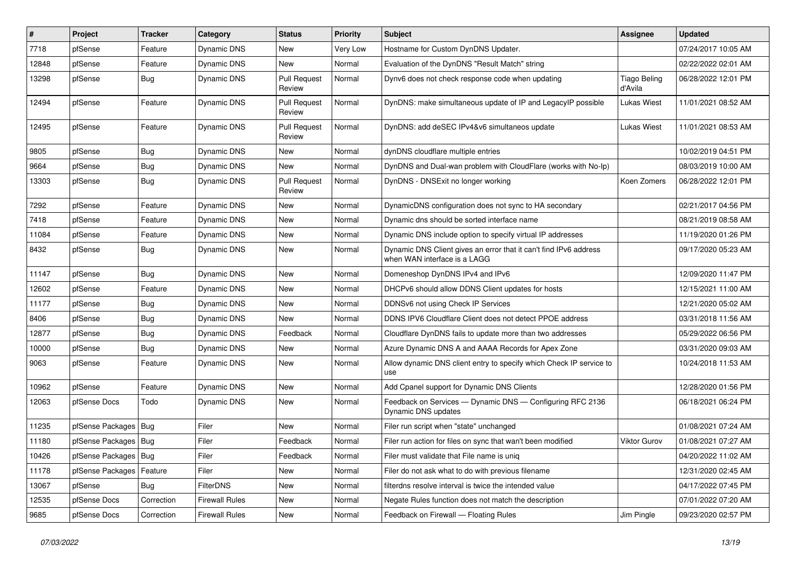| #     | Project                | <b>Tracker</b> | Category              | <b>Status</b>                 | <b>Priority</b> | Subject                                                                                           | <b>Assignee</b>                | <b>Updated</b>      |
|-------|------------------------|----------------|-----------------------|-------------------------------|-----------------|---------------------------------------------------------------------------------------------------|--------------------------------|---------------------|
| 7718  | pfSense                | Feature        | Dynamic DNS           | New                           | Very Low        | Hostname for Custom DynDNS Updater.                                                               |                                | 07/24/2017 10:05 AM |
| 12848 | pfSense                | Feature        | Dynamic DNS           | New                           | Normal          | Evaluation of the DynDNS "Result Match" string                                                    |                                | 02/22/2022 02:01 AM |
| 13298 | pfSense                | Bug            | <b>Dynamic DNS</b>    | <b>Pull Request</b><br>Review | Normal          | Dynv6 does not check response code when updating                                                  | <b>Tiago Beling</b><br>d'Avila | 06/28/2022 12:01 PM |
| 12494 | pfSense                | Feature        | <b>Dynamic DNS</b>    | <b>Pull Request</b><br>Review | Normal          | DynDNS: make simultaneous update of IP and LegacyIP possible                                      | Lukas Wiest                    | 11/01/2021 08:52 AM |
| 12495 | pfSense                | Feature        | <b>Dynamic DNS</b>    | <b>Pull Request</b><br>Review | Normal          | DynDNS: add deSEC IPv4&v6 simultaneos update                                                      | <b>Lukas Wiest</b>             | 11/01/2021 08:53 AM |
| 9805  | pfSense                | Bug            | <b>Dynamic DNS</b>    | New                           | Normal          | dynDNS cloudflare multiple entries                                                                |                                | 10/02/2019 04:51 PM |
| 9664  | pfSense                | Bug            | Dynamic DNS           | New                           | Normal          | DynDNS and Dual-wan problem with CloudFlare (works with No-Ip)                                    |                                | 08/03/2019 10:00 AM |
| 13303 | pfSense                | Bug            | Dynamic DNS           | <b>Pull Request</b><br>Review | Normal          | DynDNS - DNSExit no longer working                                                                | Koen Zomers                    | 06/28/2022 12:01 PM |
| 7292  | pfSense                | Feature        | <b>Dynamic DNS</b>    | New                           | Normal          | DynamicDNS configuration does not sync to HA secondary                                            |                                | 02/21/2017 04:56 PM |
| 7418  | pfSense                | Feature        | Dynamic DNS           | New                           | Normal          | Dynamic dns should be sorted interface name                                                       |                                | 08/21/2019 08:58 AM |
| 11084 | pfSense                | Feature        | Dynamic DNS           | New                           | Normal          | Dynamic DNS include option to specify virtual IP addresses                                        |                                | 11/19/2020 01:26 PM |
| 8432  | pfSense                | Bug            | Dynamic DNS           | <b>New</b>                    | Normal          | Dynamic DNS Client gives an error that it can't find IPv6 address<br>when WAN interface is a LAGG |                                | 09/17/2020 05:23 AM |
| 11147 | pfSense                | Bug            | Dynamic DNS           | New                           | Normal          | Domeneshop DynDNS IPv4 and IPv6                                                                   |                                | 12/09/2020 11:47 PM |
| 12602 | pfSense                | Feature        | <b>Dynamic DNS</b>    | New                           | Normal          | DHCPv6 should allow DDNS Client updates for hosts                                                 |                                | 12/15/2021 11:00 AM |
| 11177 | pfSense                | Bug            | Dynamic DNS           | <b>New</b>                    | Normal          | DDNSv6 not using Check IP Services                                                                |                                | 12/21/2020 05:02 AM |
| 8406  | pfSense                | Bug            | Dynamic DNS           | <b>New</b>                    | Normal          | DDNS IPV6 Cloudflare Client does not detect PPOE address                                          |                                | 03/31/2018 11:56 AM |
| 12877 | pfSense                | <b>Bug</b>     | Dynamic DNS           | Feedback                      | Normal          | Cloudflare DynDNS fails to update more than two addresses                                         |                                | 05/29/2022 06:56 PM |
| 10000 | pfSense                | Bug            | Dynamic DNS           | New                           | Normal          | Azure Dynamic DNS A and AAAA Records for Apex Zone                                                |                                | 03/31/2020 09:03 AM |
| 9063  | pfSense                | Feature        | Dynamic DNS           | <b>New</b>                    | Normal          | Allow dynamic DNS client entry to specify which Check IP service to<br>use                        |                                | 10/24/2018 11:53 AM |
| 10962 | pfSense                | Feature        | Dynamic DNS           | <b>New</b>                    | Normal          | Add Cpanel support for Dynamic DNS Clients                                                        |                                | 12/28/2020 01:56 PM |
| 12063 | pfSense Docs           | Todo           | Dynamic DNS           | New                           | Normal          | Feedback on Services - Dynamic DNS - Configuring RFC 2136<br>Dynamic DNS updates                  |                                | 06/18/2021 06:24 PM |
| 11235 | pfSense Packages       | Bug            | Filer                 | <b>New</b>                    | Normal          | Filer run script when "state" unchanged                                                           |                                | 01/08/2021 07:24 AM |
| 11180 | pfSense Packages   Bug |                | Filer                 | Feedback                      | Normal          | Filer run action for files on sync that wan't been modified                                       | <b>Viktor Gurov</b>            | 01/08/2021 07:27 AM |
| 10426 | pfSense Packages   Bug |                | Filer                 | Feedback                      | Normal          | Filer must validate that File name is uniq                                                        |                                | 04/20/2022 11:02 AM |
| 11178 | pfSense Packages       | Feature        | Filer                 | New                           | Normal          | Filer do not ask what to do with previous filename                                                |                                | 12/31/2020 02:45 AM |
| 13067 | pfSense                | <b>Bug</b>     | <b>FilterDNS</b>      | New                           | Normal          | filterdns resolve interval is twice the intended value                                            |                                | 04/17/2022 07:45 PM |
| 12535 | pfSense Docs           | Correction     | <b>Firewall Rules</b> | New                           | Normal          | Negate Rules function does not match the description                                              |                                | 07/01/2022 07:20 AM |
| 9685  | pfSense Docs           | Correction     | <b>Firewall Rules</b> | New                           | Normal          | Feedback on Firewall - Floating Rules                                                             | Jim Pingle                     | 09/23/2020 02:57 PM |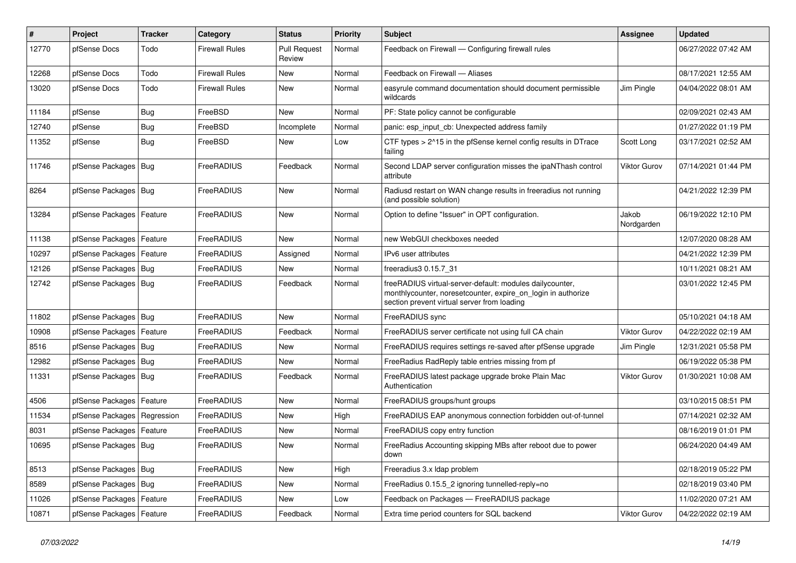| $\vert$ # | Project                       | <b>Tracker</b> | Category              | <b>Status</b>                 | <b>Priority</b> | Subject                                                                                                                                                                 | <b>Assignee</b>     | <b>Updated</b>      |
|-----------|-------------------------------|----------------|-----------------------|-------------------------------|-----------------|-------------------------------------------------------------------------------------------------------------------------------------------------------------------------|---------------------|---------------------|
| 12770     | pfSense Docs                  | Todo           | Firewall Rules        | <b>Pull Request</b><br>Review | Normal          | Feedback on Firewall — Configuring firewall rules                                                                                                                       |                     | 06/27/2022 07:42 AM |
| 12268     | pfSense Docs                  | Todo           | Firewall Rules        | New                           | Normal          | Feedback on Firewall - Aliases                                                                                                                                          |                     | 08/17/2021 12:55 AM |
| 13020     | pfSense Docs                  | Todo           | <b>Firewall Rules</b> | New                           | Normal          | easyrule command documentation should document permissible<br>wildcards                                                                                                 | Jim Pingle          | 04/04/2022 08:01 AM |
| 11184     | pfSense                       | Bug            | FreeBSD               | New                           | Normal          | PF: State policy cannot be configurable                                                                                                                                 |                     | 02/09/2021 02:43 AM |
| 12740     | pfSense                       | Bug            | FreeBSD               | Incomplete                    | Normal          | panic: esp input cb: Unexpected address family                                                                                                                          |                     | 01/27/2022 01:19 PM |
| 11352     | pfSense                       | Bug            | FreeBSD               | New                           | Low             | CTF types > 2^15 in the pfSense kernel config results in DTrace<br>failing                                                                                              | Scott Long          | 03/17/2021 02:52 AM |
| 11746     | pfSense Packages   Bug        |                | FreeRADIUS            | Feedback                      | Normal          | Second LDAP server configuration misses the ipaNThash control<br>attribute                                                                                              | <b>Viktor Gurov</b> | 07/14/2021 01:44 PM |
| 8264      | pfSense Packages   Bug        |                | FreeRADIUS            | <b>New</b>                    | Normal          | Radiusd restart on WAN change results in freeradius not running<br>(and possible solution)                                                                              |                     | 04/21/2022 12:39 PM |
| 13284     | pfSense Packages              | Feature        | FreeRADIUS            | <b>New</b>                    | Normal          | Option to define "Issuer" in OPT configuration.                                                                                                                         | Jakob<br>Nordgarden | 06/19/2022 12:10 PM |
| 11138     | pfSense Packages              | Feature        | FreeRADIUS            | <b>New</b>                    | Normal          | new WebGUI checkboxes needed                                                                                                                                            |                     | 12/07/2020 08:28 AM |
| 10297     | pfSense Packages              | Feature        | FreeRADIUS            | Assigned                      | Normal          | IPv6 user attributes                                                                                                                                                    |                     | 04/21/2022 12:39 PM |
| 12126     | pfSense Packages   Bug        |                | FreeRADIUS            | New                           | Normal          | freeradius3 0.15.7_31                                                                                                                                                   |                     | 10/11/2021 08:21 AM |
| 12742     | pfSense Packages   Bug        |                | FreeRADIUS            | Feedback                      | Normal          | freeRADIUS virtual-server-default: modules dailycounter,<br>monthlycounter, noresetcounter, expire on login in authorize<br>section prevent virtual server from loading |                     | 03/01/2022 12:45 PM |
| 11802     | pfSense Packages   Bug        |                | FreeRADIUS            | <b>New</b>                    | Normal          | FreeRADIUS sync                                                                                                                                                         |                     | 05/10/2021 04:18 AM |
| 10908     | pfSense Packages              | Feature        | FreeRADIUS            | Feedback                      | Normal          | FreeRADIUS server certificate not using full CA chain                                                                                                                   | <b>Viktor Gurov</b> | 04/22/2022 02:19 AM |
| 8516      | pfSense Packages   Bug        |                | FreeRADIUS            | New                           | Normal          | FreeRADIUS requires settings re-saved after pfSense upgrade                                                                                                             | Jim Pingle          | 12/31/2021 05:58 PM |
| 12982     | pfSense Packages   Bug        |                | FreeRADIUS            | New                           | Normal          | FreeRadius RadReply table entries missing from pf                                                                                                                       |                     | 06/19/2022 05:38 PM |
| 11331     | pfSense Packages   Bug        |                | FreeRADIUS            | Feedback                      | Normal          | FreeRADIUS latest package upgrade broke Plain Mac<br>Authentication                                                                                                     | <b>Viktor Gurov</b> | 01/30/2021 10:08 AM |
| 4506      | pfSense Packages              | Feature        | FreeRADIUS            | <b>New</b>                    | Normal          | FreeRADIUS groups/hunt groups                                                                                                                                           |                     | 03/10/2015 08:51 PM |
| 11534     | pfSense Packages   Regression |                | FreeRADIUS            | New                           | High            | FreeRADIUS EAP anonymous connection forbidden out-of-tunnel                                                                                                             |                     | 07/14/2021 02:32 AM |
| 8031      | pfSense Packages              | Feature        | FreeRADIUS            | New                           | Normal          | FreeRADIUS copy entry function                                                                                                                                          |                     | 08/16/2019 01:01 PM |
| 10695     | pfSense Packages   Bug        |                | FreeRADIUS            | New                           | Normal          | FreeRadius Accounting skipping MBs after reboot due to power<br>down                                                                                                    |                     | 06/24/2020 04:49 AM |
| 8513      | pfSense Packages   Bug        |                | FreeRADIUS            | New                           | High            | Freeradius 3.x Idap problem                                                                                                                                             |                     | 02/18/2019 05:22 PM |
| 8589      | pfSense Packages   Bug        |                | FreeRADIUS            | New                           | Normal          | FreeRadius 0.15.5 2 ignoring tunnelled-reply=no                                                                                                                         |                     | 02/18/2019 03:40 PM |
| 11026     | pfSense Packages              | Feature        | FreeRADIUS            | New                           | Low             | Feedback on Packages - FreeRADIUS package                                                                                                                               |                     | 11/02/2020 07:21 AM |
| 10871     | pfSense Packages              | Feature        | FreeRADIUS            | Feedback                      | Normal          | Extra time period counters for SQL backend                                                                                                                              | Viktor Gurov        | 04/22/2022 02:19 AM |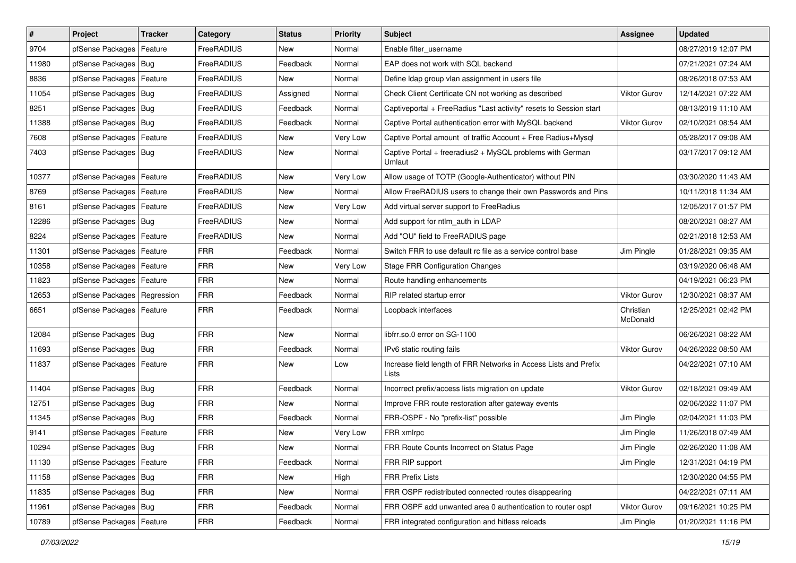| $\vert$ # | Project                       | <b>Tracker</b> | Category   | <b>Status</b> | <b>Priority</b> | Subject                                                                   | Assignee              | <b>Updated</b>      |
|-----------|-------------------------------|----------------|------------|---------------|-----------------|---------------------------------------------------------------------------|-----------------------|---------------------|
| 9704      | pfSense Packages              | Feature        | FreeRADIUS | New           | Normal          | Enable filter_username                                                    |                       | 08/27/2019 12:07 PM |
| 11980     | pfSense Packages   Bug        |                | FreeRADIUS | Feedback      | Normal          | EAP does not work with SQL backend                                        |                       | 07/21/2021 07:24 AM |
| 8836      | pfSense Packages   Feature    |                | FreeRADIUS | New           | Normal          | Define Idap group vlan assignment in users file                           |                       | 08/26/2018 07:53 AM |
| 11054     | pfSense Packages   Bug        |                | FreeRADIUS | Assigned      | Normal          | Check Client Certificate CN not working as described                      | <b>Viktor Gurov</b>   | 12/14/2021 07:22 AM |
| 8251      | pfSense Packages   Bug        |                | FreeRADIUS | Feedback      | Normal          | Captiveportal + FreeRadius "Last activity" resets to Session start        |                       | 08/13/2019 11:10 AM |
| 11388     | pfSense Packages   Bug        |                | FreeRADIUS | Feedback      | Normal          | Captive Portal authentication error with MySQL backend                    | <b>Viktor Gurov</b>   | 02/10/2021 08:54 AM |
| 7608      | pfSense Packages   Feature    |                | FreeRADIUS | New           | Very Low        | Captive Portal amount of traffic Account + Free Radius+Mysql              |                       | 05/28/2017 09:08 AM |
| 7403      | pfSense Packages   Bug        |                | FreeRADIUS | New           | Normal          | Captive Portal + freeradius2 + MySQL problems with German<br>Umlaut       |                       | 03/17/2017 09:12 AM |
| 10377     | pfSense Packages   Feature    |                | FreeRADIUS | <b>New</b>    | Very Low        | Allow usage of TOTP (Google-Authenticator) without PIN                    |                       | 03/30/2020 11:43 AM |
| 8769      | pfSense Packages   Feature    |                | FreeRADIUS | New           | Normal          | Allow FreeRADIUS users to change their own Passwords and Pins             |                       | 10/11/2018 11:34 AM |
| 8161      | pfSense Packages   Feature    |                | FreeRADIUS | New           | Very Low        | Add virtual server support to FreeRadius                                  |                       | 12/05/2017 01:57 PM |
| 12286     | pfSense Packages   Bug        |                | FreeRADIUS | <b>New</b>    | Normal          | Add support for ntlm_auth in LDAP                                         |                       | 08/20/2021 08:27 AM |
| 8224      | pfSense Packages   Feature    |                | FreeRADIUS | New           | Normal          | Add "OU" field to FreeRADIUS page                                         |                       | 02/21/2018 12:53 AM |
| 11301     | pfSense Packages   Feature    |                | <b>FRR</b> | Feedback      | Normal          | Switch FRR to use default rc file as a service control base               | Jim Pingle            | 01/28/2021 09:35 AM |
| 10358     | pfSense Packages   Feature    |                | <b>FRR</b> | New           | Very Low        | <b>Stage FRR Configuration Changes</b>                                    |                       | 03/19/2020 06:48 AM |
| 11823     | pfSense Packages   Feature    |                | <b>FRR</b> | New           | Normal          | Route handling enhancements                                               |                       | 04/19/2021 06:23 PM |
| 12653     | pfSense Packages   Regression |                | <b>FRR</b> | Feedback      | Normal          | RIP related startup error                                                 | Viktor Gurov          | 12/30/2021 08:37 AM |
| 6651      | pfSense Packages   Feature    |                | <b>FRR</b> | Feedback      | Normal          | Loopback interfaces                                                       | Christian<br>McDonald | 12/25/2021 02:42 PM |
| 12084     | pfSense Packages   Bug        |                | <b>FRR</b> | <b>New</b>    | Normal          | libfrr.so.0 error on SG-1100                                              |                       | 06/26/2021 08:22 AM |
| 11693     | pfSense Packages   Bug        |                | <b>FRR</b> | Feedback      | Normal          | IPv6 static routing fails                                                 | Viktor Gurov          | 04/26/2022 08:50 AM |
| 11837     | pfSense Packages   Feature    |                | <b>FRR</b> | New           | Low             | Increase field length of FRR Networks in Access Lists and Prefix<br>Lists |                       | 04/22/2021 07:10 AM |
| 11404     | pfSense Packages   Bug        |                | <b>FRR</b> | Feedback      | Normal          | Incorrect prefix/access lists migration on update                         | Viktor Gurov          | 02/18/2021 09:49 AM |
| 12751     | pfSense Packages   Bug        |                | <b>FRR</b> | <b>New</b>    | Normal          | Improve FRR route restoration after gateway events                        |                       | 02/06/2022 11:07 PM |
| 11345     | pfSense Packages   Bug        |                | <b>FRR</b> | Feedback      | Normal          | FRR-OSPF - No "prefix-list" possible                                      | Jim Pingle            | 02/04/2021 11:03 PM |
| 9141      | pfSense Packages   Feature    |                | <b>FRR</b> | New           | Very Low        | FRR xmlrpc                                                                | Jim Pingle            | 11/26/2018 07:49 AM |
| 10294     | pfSense Packages   Bug        |                | <b>FRR</b> | New           | Normal          | FRR Route Counts Incorrect on Status Page                                 | Jim Pingle            | 02/26/2020 11:08 AM |
| 11130     | pfSense Packages   Feature    |                | <b>FRR</b> | Feedback      | Normal          | FRR RIP support                                                           | Jim Pingle            | 12/31/2021 04:19 PM |
| 11158     | pfSense Packages   Bug        |                | <b>FRR</b> | New           | High            | <b>FRR Prefix Lists</b>                                                   |                       | 12/30/2020 04:55 PM |
| 11835     | pfSense Packages   Bug        |                | FRR        | New           | Normal          | FRR OSPF redistributed connected routes disappearing                      |                       | 04/22/2021 07:11 AM |
| 11961     | pfSense Packages   Bug        |                | <b>FRR</b> | Feedback      | Normal          | FRR OSPF add unwanted area 0 authentication to router ospf                | Viktor Gurov          | 09/16/2021 10:25 PM |
| 10789     | pfSense Packages   Feature    |                | <b>FRR</b> | Feedback      | Normal          | FRR integrated configuration and hitless reloads                          | Jim Pingle            | 01/20/2021 11:16 PM |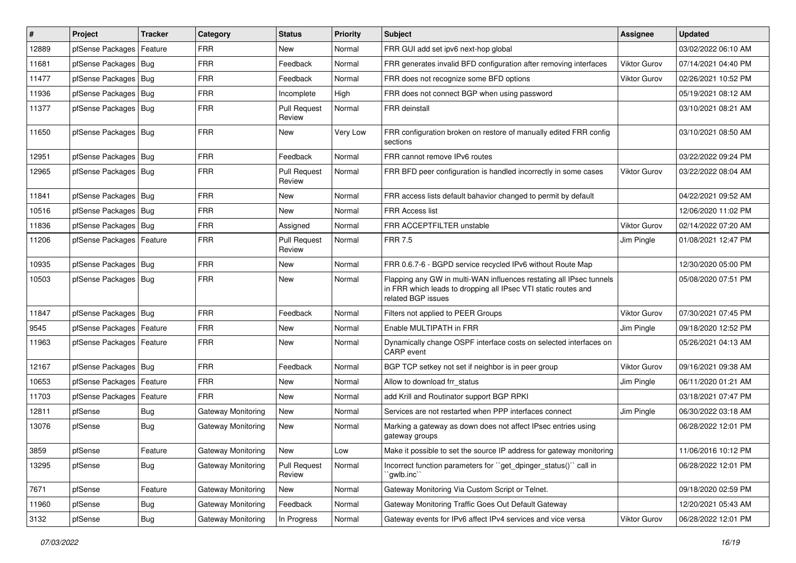| #     | Project                    | <b>Tracker</b> | Category           | <b>Status</b>                 | <b>Priority</b> | Subject                                                                                                                                                     | <b>Assignee</b>     | <b>Updated</b>      |
|-------|----------------------------|----------------|--------------------|-------------------------------|-----------------|-------------------------------------------------------------------------------------------------------------------------------------------------------------|---------------------|---------------------|
| 12889 | pfSense Packages           | Feature        | <b>FRR</b>         | New                           | Normal          | FRR GUI add set ipv6 next-hop global                                                                                                                        |                     | 03/02/2022 06:10 AM |
| 11681 | pfSense Packages   Bug     |                | <b>FRR</b>         | Feedback                      | Normal          | FRR generates invalid BFD configuration after removing interfaces                                                                                           | Viktor Gurov        | 07/14/2021 04:40 PM |
| 11477 | pfSense Packages   Bug     |                | <b>FRR</b>         | Feedback                      | Normal          | FRR does not recognize some BFD options                                                                                                                     | Viktor Gurov        | 02/26/2021 10:52 PM |
| 11936 | pfSense Packages   Bug     |                | <b>FRR</b>         | Incomplete                    | High            | FRR does not connect BGP when using password                                                                                                                |                     | 05/19/2021 08:12 AM |
| 11377 | pfSense Packages   Bug     |                | <b>FRR</b>         | <b>Pull Request</b><br>Review | Normal          | FRR deinstall                                                                                                                                               |                     | 03/10/2021 08:21 AM |
| 11650 | pfSense Packages   Bug     |                | <b>FRR</b>         | New                           | Very Low        | FRR configuration broken on restore of manually edited FRR config<br>sections                                                                               |                     | 03/10/2021 08:50 AM |
| 12951 | pfSense Packages   Bug     |                | <b>FRR</b>         | Feedback                      | Normal          | FRR cannot remove IPv6 routes                                                                                                                               |                     | 03/22/2022 09:24 PM |
| 12965 | pfSense Packages   Bug     |                | <b>FRR</b>         | <b>Pull Request</b><br>Review | Normal          | FRR BFD peer configuration is handled incorrectly in some cases                                                                                             | <b>Viktor Gurov</b> | 03/22/2022 08:04 AM |
| 11841 | pfSense Packages   Bug     |                | <b>FRR</b>         | New                           | Normal          | FRR access lists default bahavior changed to permit by default                                                                                              |                     | 04/22/2021 09:52 AM |
| 10516 | pfSense Packages   Bug     |                | <b>FRR</b>         | New                           | Normal          | FRR Access list                                                                                                                                             |                     | 12/06/2020 11:02 PM |
| 11836 | pfSense Packages   Bug     |                | <b>FRR</b>         | Assigned                      | Normal          | FRR ACCEPTFILTER unstable                                                                                                                                   | <b>Viktor Gurov</b> | 02/14/2022 07:20 AM |
| 11206 | pfSense Packages   Feature |                | <b>FRR</b>         | <b>Pull Request</b><br>Review | Normal          | <b>FRR 7.5</b>                                                                                                                                              | Jim Pingle          | 01/08/2021 12:47 PM |
| 10935 | pfSense Packages   Bug     |                | <b>FRR</b>         | New                           | Normal          | FRR 0.6.7-6 - BGPD service recycled IPv6 without Route Map                                                                                                  |                     | 12/30/2020 05:00 PM |
| 10503 | pfSense Packages   Bug     |                | <b>FRR</b>         | New                           | Normal          | Flapping any GW in multi-WAN influences restating all IPsec tunnels<br>in FRR which leads to dropping all IPsec VTI static routes and<br>related BGP issues |                     | 05/08/2020 07:51 PM |
| 11847 | pfSense Packages   Bug     |                | <b>FRR</b>         | Feedback                      | Normal          | Filters not applied to PEER Groups                                                                                                                          | Viktor Gurov        | 07/30/2021 07:45 PM |
| 9545  | pfSense Packages   Feature |                | <b>FRR</b>         | New                           | Normal          | Enable MULTIPATH in FRR                                                                                                                                     | Jim Pingle          | 09/18/2020 12:52 PM |
| 11963 | pfSense Packages   Feature |                | <b>FRR</b>         | New                           | Normal          | Dynamically change OSPF interface costs on selected interfaces on<br>CARP event                                                                             |                     | 05/26/2021 04:13 AM |
| 12167 | pfSense Packages   Bug     |                | <b>FRR</b>         | Feedback                      | Normal          | BGP TCP setkey not set if neighbor is in peer group                                                                                                         | Viktor Gurov        | 09/16/2021 09:38 AM |
| 10653 | pfSense Packages   Feature |                | <b>FRR</b>         | New                           | Normal          | Allow to download frr_status                                                                                                                                | Jim Pingle          | 06/11/2020 01:21 AM |
| 11703 | pfSense Packages           | Feature        | <b>FRR</b>         | <b>New</b>                    | Normal          | add Krill and Routinator support BGP RPKI                                                                                                                   |                     | 03/18/2021 07:47 PM |
| 12811 | pfSense                    | <b>Bug</b>     | Gateway Monitoring | New                           | Normal          | Services are not restarted when PPP interfaces connect                                                                                                      | Jim Pingle          | 06/30/2022 03:18 AM |
| 13076 | pfSense                    | <b>Bug</b>     | Gateway Monitoring | New                           | Normal          | Marking a gateway as down does not affect IPsec entries using<br>gateway groups                                                                             |                     | 06/28/2022 12:01 PM |
| 3859  | pfSense                    | Feature        | Gateway Monitoring | New                           | Low             | Make it possible to set the source IP address for gateway monitoring                                                                                        |                     | 11/06/2016 10:12 PM |
| 13295 | pfSense                    | <b>Bug</b>     | Gateway Monitoring | <b>Pull Request</b><br>Review | Normal          | Incorrect function parameters for "get_dpinger_status()" call in<br>`gwlb.inc``                                                                             |                     | 06/28/2022 12:01 PM |
| 7671  | pfSense                    | Feature        | Gateway Monitoring | New                           | Normal          | Gateway Monitoring Via Custom Script or Telnet.                                                                                                             |                     | 09/18/2020 02:59 PM |
| 11960 | pfSense                    | <b>Bug</b>     | Gateway Monitoring | Feedback                      | Normal          | Gateway Monitoring Traffic Goes Out Default Gateway                                                                                                         |                     | 12/20/2021 05:43 AM |
| 3132  | pfSense                    | Bug            | Gateway Monitoring | In Progress                   | Normal          | Gateway events for IPv6 affect IPv4 services and vice versa                                                                                                 | Viktor Gurov        | 06/28/2022 12:01 PM |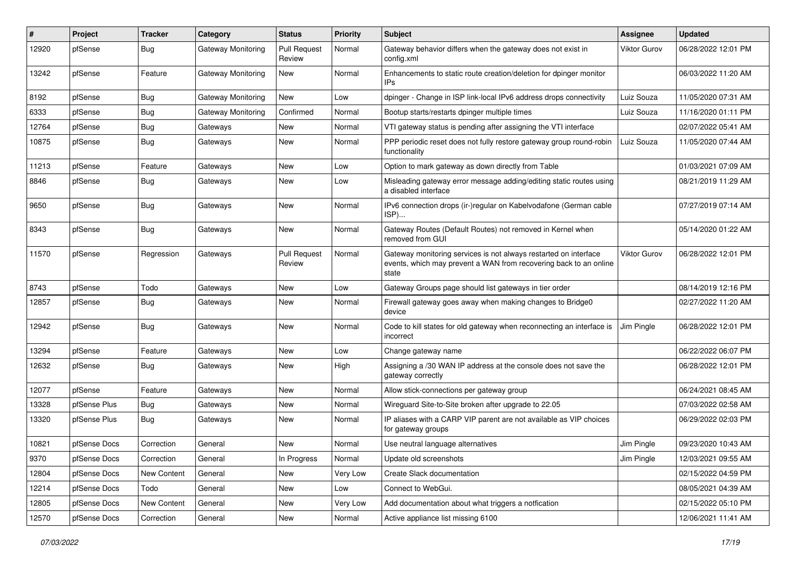| #     | Project      | <b>Tracker</b> | Category                  | <b>Status</b>                 | <b>Priority</b> | Subject                                                                                                                                        | Assignee            | <b>Updated</b>      |
|-------|--------------|----------------|---------------------------|-------------------------------|-----------------|------------------------------------------------------------------------------------------------------------------------------------------------|---------------------|---------------------|
| 12920 | pfSense      | Bug            | Gateway Monitoring        | <b>Pull Request</b><br>Review | Normal          | Gateway behavior differs when the gateway does not exist in<br>config.xml                                                                      | <b>Viktor Gurov</b> | 06/28/2022 12:01 PM |
| 13242 | pfSense      | Feature        | Gateway Monitoring        | New                           | Normal          | Enhancements to static route creation/deletion for dpinger monitor<br><b>IPs</b>                                                               |                     | 06/03/2022 11:20 AM |
| 8192  | pfSense      | Bug            | <b>Gateway Monitoring</b> | <b>New</b>                    | Low             | dpinger - Change in ISP link-local IPv6 address drops connectivity                                                                             | Luiz Souza          | 11/05/2020 07:31 AM |
| 6333  | pfSense      | <b>Bug</b>     | Gateway Monitoring        | Confirmed                     | Normal          | Bootup starts/restarts dpinger multiple times                                                                                                  | Luiz Souza          | 11/16/2020 01:11 PM |
| 12764 | pfSense      | <b>Bug</b>     | Gateways                  | New                           | Normal          | VTI gateway status is pending after assigning the VTI interface                                                                                |                     | 02/07/2022 05:41 AM |
| 10875 | pfSense      | <b>Bug</b>     | Gateways                  | New                           | Normal          | PPP periodic reset does not fully restore gateway group round-robin<br>functionality                                                           | Luiz Souza          | 11/05/2020 07:44 AM |
| 11213 | pfSense      | Feature        | Gateways                  | <b>New</b>                    | Low             | Option to mark gateway as down directly from Table                                                                                             |                     | 01/03/2021 07:09 AM |
| 8846  | pfSense      | Bug            | Gateways                  | New                           | Low             | Misleading gateway error message adding/editing static routes using<br>a disabled interface                                                    |                     | 08/21/2019 11:29 AM |
| 9650  | pfSense      | <b>Bug</b>     | Gateways                  | <b>New</b>                    | Normal          | IPv6 connection drops (ir-)regular on Kabelvodafone (German cable<br>ISP)                                                                      |                     | 07/27/2019 07:14 AM |
| 8343  | pfSense      | Bug            | Gateways                  | New                           | Normal          | Gateway Routes (Default Routes) not removed in Kernel when<br>removed from GUI                                                                 |                     | 05/14/2020 01:22 AM |
| 11570 | pfSense      | Regression     | Gateways                  | <b>Pull Request</b><br>Review | Normal          | Gateway monitoring services is not always restarted on interface<br>events, which may prevent a WAN from recovering back to an online<br>state | Viktor Gurov        | 06/28/2022 12:01 PM |
| 8743  | pfSense      | Todo           | Gateways                  | New                           | Low             | Gateway Groups page should list gateways in tier order                                                                                         |                     | 08/14/2019 12:16 PM |
| 12857 | pfSense      | <b>Bug</b>     | Gateways                  | <b>New</b>                    | Normal          | Firewall gateway goes away when making changes to Bridge0<br>device                                                                            |                     | 02/27/2022 11:20 AM |
| 12942 | pfSense      | Bug            | Gateways                  | <b>New</b>                    | Normal          | Code to kill states for old gateway when reconnecting an interface is<br>incorrect                                                             | Jim Pingle          | 06/28/2022 12:01 PM |
| 13294 | pfSense      | Feature        | Gateways                  | New                           | Low             | Change gateway name                                                                                                                            |                     | 06/22/2022 06:07 PM |
| 12632 | pfSense      | <b>Bug</b>     | Gateways                  | New                           | High            | Assigning a /30 WAN IP address at the console does not save the<br>gateway correctly                                                           |                     | 06/28/2022 12:01 PM |
| 12077 | pfSense      | Feature        | Gateways                  | New                           | Normal          | Allow stick-connections per gateway group                                                                                                      |                     | 06/24/2021 08:45 AM |
| 13328 | pfSense Plus | <b>Bug</b>     | Gateways                  | New                           | Normal          | Wireguard Site-to-Site broken after upgrade to 22.05                                                                                           |                     | 07/03/2022 02:58 AM |
| 13320 | pfSense Plus | <b>Bug</b>     | Gateways                  | New                           | Normal          | IP aliases with a CARP VIP parent are not available as VIP choices<br>for gateway groups                                                       |                     | 06/29/2022 02:03 PM |
| 10821 | pfSense Docs | Correction     | General                   | <b>New</b>                    | Normal          | Use neutral language alternatives                                                                                                              | Jim Pingle          | 09/23/2020 10:43 AM |
| 9370  | pfSense Docs | Correction     | General                   | In Progress                   | Normal          | Update old screenshots                                                                                                                         | Jim Pingle          | 12/03/2021 09:55 AM |
| 12804 | pfSense Docs | New Content    | General                   | New                           | Very Low        | Create Slack documentation                                                                                                                     |                     | 02/15/2022 04:59 PM |
| 12214 | pfSense Docs | Todo           | General                   | New                           | Low             | Connect to WebGui.                                                                                                                             |                     | 08/05/2021 04:39 AM |
| 12805 | pfSense Docs | New Content    | General                   | New                           | Very Low        | Add documentation about what triggers a notfication                                                                                            |                     | 02/15/2022 05:10 PM |
| 12570 | pfSense Docs | Correction     | General                   | New                           | Normal          | Active appliance list missing 6100                                                                                                             |                     | 12/06/2021 11:41 AM |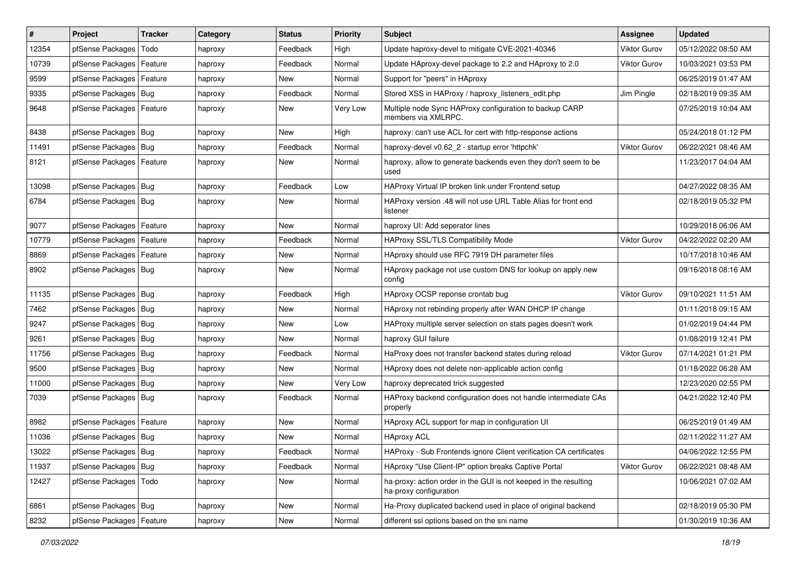| $\vert$ # | Project                    | <b>Tracker</b> | Category | <b>Status</b> | <b>Priority</b> | <b>Subject</b>                                                                             | Assignee            | <b>Updated</b>      |
|-----------|----------------------------|----------------|----------|---------------|-----------------|--------------------------------------------------------------------------------------------|---------------------|---------------------|
| 12354     | pfSense Packages           | Todo           | haproxy  | Feedback      | High            | Update haproxy-devel to mitigate CVE-2021-40346                                            | <b>Viktor Gurov</b> | 05/12/2022 08:50 AM |
| 10739     | pfSense Packages           | Feature        | haproxy  | Feedback      | Normal          | Update HAproxy-devel package to 2.2 and HAproxy to 2.0                                     | <b>Viktor Gurov</b> | 10/03/2021 03:53 PM |
| 9599      | pfSense Packages   Feature |                | haproxy  | New           | Normal          | Support for "peers" in HAproxy                                                             |                     | 06/25/2019 01:47 AM |
| 9335      | pfSense Packages Bug       |                | haproxy  | Feedback      | Normal          | Stored XSS in HAProxy / haproxy_listeners_edit.php                                         | Jim Pingle          | 02/18/2019 09:35 AM |
| 9648      | pfSense Packages   Feature |                | haproxy  | New           | Very Low        | Multiple node Sync HAProxy configuration to backup CARP<br>members via XMLRPC.             |                     | 07/25/2019 10:04 AM |
| 8438      | pfSense Packages   Bug     |                | haproxy  | New           | High            | haproxy: can't use ACL for cert with http-response actions                                 |                     | 05/24/2018 01:12 PM |
| 11491     | pfSense Packages   Bug     |                | haproxy  | Feedback      | Normal          | haproxy-devel v0.62_2 - startup error 'httpchk'                                            | <b>Viktor Gurov</b> | 06/22/2021 08:46 AM |
| 8121      | pfSense Packages   Feature |                | haproxy  | New           | Normal          | haproxy, allow to generate backends even they don't seem to be<br>used                     |                     | 11/23/2017 04:04 AM |
| 13098     | pfSense Packages   Bug     |                | haproxy  | Feedback      | Low             | HAProxy Virtual IP broken link under Frontend setup                                        |                     | 04/27/2022 08:35 AM |
| 6784      | pfSense Packages   Bug     |                | haproxy  | New           | Normal          | HAProxy version .48 will not use URL Table Alias for front end<br>listener                 |                     | 02/18/2019 05:32 PM |
| 9077      | pfSense Packages   Feature |                | haproxy  | New           | Normal          | haproxy UI: Add seperator lines                                                            |                     | 10/29/2018 06:06 AM |
| 10779     | pfSense Packages   Feature |                | haproxy  | Feedback      | Normal          | HAProxy SSL/TLS Compatibility Mode                                                         | <b>Viktor Gurov</b> | 04/22/2022 02:20 AM |
| 8869      | pfSense Packages   Feature |                | haproxy  | New           | Normal          | HAproxy should use RFC 7919 DH parameter files                                             |                     | 10/17/2018 10:46 AM |
| 8902      | pfSense Packages   Bug     |                | haproxy  | New           | Normal          | HAproxy package not use custom DNS for lookup on apply new<br>config                       |                     | 09/16/2018 08:16 AM |
| 11135     | pfSense Packages   Bug     |                | haproxy  | Feedback      | High            | HAproxy OCSP reponse crontab bug                                                           | Viktor Gurov        | 09/10/2021 11:51 AM |
| 7462      | pfSense Packages   Bug     |                | haproxy  | <b>New</b>    | Normal          | HAproxy not rebinding properly after WAN DHCP IP change                                    |                     | 01/11/2018 09:15 AM |
| 9247      | pfSense Packages   Bug     |                | haproxy  | <b>New</b>    | Low             | HAProxy multiple server selection on stats pages doesn't work                              |                     | 01/02/2019 04:44 PM |
| 9261      | pfSense Packages   Bug     |                | haproxy  | New           | Normal          | haproxy GUI failure                                                                        |                     | 01/08/2019 12:41 PM |
| 11756     | pfSense Packages   Bug     |                | haproxy  | Feedback      | Normal          | HaProxy does not transfer backend states during reload                                     | <b>Viktor Gurov</b> | 07/14/2021 01:21 PM |
| 9500      | pfSense Packages   Bug     |                | haproxy  | New           | Normal          | HAproxy does not delete non-applicable action config                                       |                     | 01/18/2022 06:28 AM |
| 11000     | pfSense Packages   Bug     |                | haproxy  | New           | Very Low        | haproxy deprecated trick suggested                                                         |                     | 12/23/2020 02:55 PM |
| 7039      | pfSense Packages   Bug     |                | haproxy  | Feedback      | Normal          | HAProxy backend configuration does not handle intermediate CAs<br>properly                 |                     | 04/21/2022 12:40 PM |
| 8982      | pfSense Packages   Feature |                | haproxy  | <b>New</b>    | Normal          | HAproxy ACL support for map in configuration UI                                            |                     | 06/25/2019 01:49 AM |
| 11036     | pfSense Packages   Bug     |                | haproxy  | <b>New</b>    | Normal          | <b>HAproxy ACL</b>                                                                         |                     | 02/11/2022 11:27 AM |
| 13022     | pfSense Packages   Bug     |                | haproxy  | Feedback      | Normal          | HAProxy - Sub Frontends ignore Client verification CA certificates                         |                     | 04/06/2022 12:55 PM |
| 11937     | pfSense Packages   Bug     |                | haproxy  | Feedback      | Normal          | HAproxy "Use Client-IP" option breaks Captive Portal                                       | <b>Viktor Gurov</b> | 06/22/2021 08:48 AM |
| 12427     | pfSense Packages           | Todo           | haproxy  | New           | Normal          | ha-proxy: action order in the GUI is not keeped in the resulting<br>ha-proxy configuration |                     | 10/06/2021 07:02 AM |
| 6861      | pfSense Packages   Bug     |                | haproxy  | <b>New</b>    | Normal          | Ha-Proxy duplicated backend used in place of original backend                              |                     | 02/18/2019 05:30 PM |
| 8232      | pfSense Packages           | Feature        | haproxy  | New           | Normal          | different ssl options based on the sni name                                                |                     | 01/30/2019 10:36 AM |